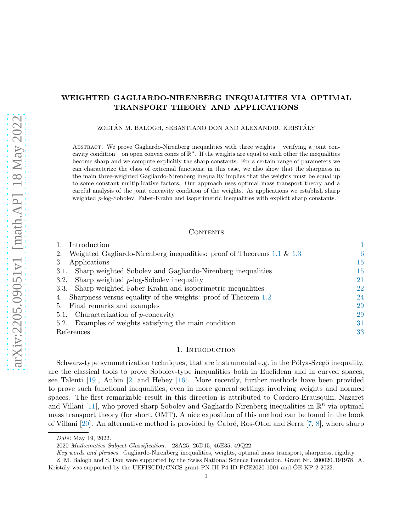# WEIGHTED GAGLIARDO-NIRENBERG INEQUALITIES VIA OPTIMAL TRANSPORT THEORY AND APPLICATIONS

ZOLTÁN M. BALOGH, SEBASTIANO DON AND ALEXANDRU KRISTÁLY

Abstract. We prove Gagliardo-Nirenberg inequalities with three weights – verifying a joint concavity condition – on open convex cones of  $\mathbb{R}^n$ . If the weights are equal to each other the inequalities become sharp and we compute explicitly the sharp constants. For a certain range of parameters we can characterize the class of extremal functions; in this case, we also show that the sharpness in the main three-weighted Gagliardo-Nirenberg inequality implies that the weights must be equal up to some constant multiplicative factors. Our approach uses optimal mass transport theory and a careful analysis of the joint concavity condition of the weights. As applications we establish sharp weighted p-log-Sobolev, Faber-Krahn and isoperimetric inequalities with explicit sharp constants.

## **CONTENTS**

| Introduction                                                                    |    |
|---------------------------------------------------------------------------------|----|
| Weighted Gagliardo-Nirenberg inequalities: proof of Theorems $1.1 \& 1.3$<br>2. | 6  |
| Applications<br>3.                                                              | 15 |
| Sharp weighted Sobolev and Gagliardo-Nirenberg inequalities<br>3.1.             | 15 |
| 3.2. Sharp weighted $p$ -log-Sobolev inequality                                 | 21 |
| 3.3. Sharp weighted Faber-Krahn and isoperimetric inequalities                  | 22 |
| Sharpness versus equality of the weights: proof of Theorem 1.2<br>4.            | 24 |
| 5. Final remarks and examples                                                   | 29 |
| Characterization of $p$ -concavity<br>5.1.                                      | 29 |
| Examples of weights satisfying the main condition<br>5.2.                       | 31 |
| References                                                                      | 33 |

#### 1. INTRODUCTION

<span id="page-0-0"></span>Schwarz-type symmetrization techniques, that are instrumental e.g. in the Pólya-Szegő inequality, are the classical tools to prove Sobolev-type inequalities both in Euclidean and in curved spaces, see Talenti [\[19\]](#page-33-0), Aubin [\[2\]](#page-32-1) and Hebey [\[16\]](#page-33-1). More recently, further methods have been provided to prove such functional inequalities, even in more general settings involving weights and normed spaces. The first remarkable result in this direction is attributed to Cordero-Erausquin, Nazaret and Villani [\[11\]](#page-33-2), who proved sharp Sobolev and Gagliardo-Nirenberg inequalities in  $\mathbb{R}^n$  via optimal mass transport theory (for short, OMT). A nice exposition of this method can be found in the book of Villani [\[20\]](#page-33-3). An alternative method is provided by Cabré, Ros-Oton and Serra  $[7, 8]$  $[7, 8]$ , where sharp

Date: May 19, 2022.

<sup>2020</sup> Mathematics Subject Classification. 28A25, 26D15, 46E35, 49Q22.

Key words and phrases. Gagliardo-Nirenberg inequalities, weights, optimal mass transport, sharpness, rigidity.

Z. M. Balogh and S. Don were supported by the Swiss National Science Foundation, Grant Nr. 200020 191978. A. Kristály was supported by the UEFISCDI/CNCS grant PN-III-P4-ID-PCE2020-1001 and ÓE-KP-2-2022.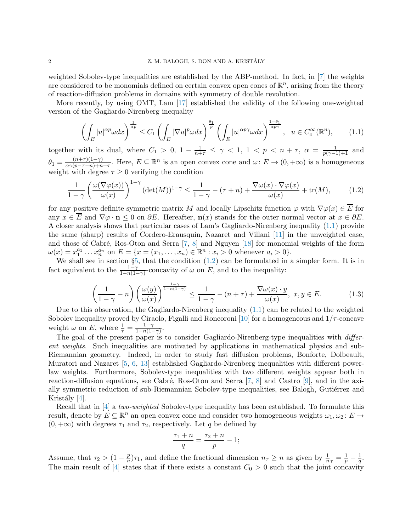weighted Sobolev-type inequalities are established by the ABP-method. In fact, in [\[7\]](#page-33-4) the weights are considered to be monomials defined on certain convex open cones of  $\mathbb{R}^n$ , arising from the theory of reaction-diffusion problems in domains with symmetry of double revolution.

More recently, by using OMT, Lam [\[17\]](#page-33-6) established the validity of the following one-weighted version of the Gagliardo-Nirenberg inequality

<span id="page-1-0"></span>
$$
\left(\int_{E} |u|^{\alpha p} \omega dx\right)^{\frac{1}{\alpha p}} \le C_{1} \left(\int_{E} |\nabla u|^{p} \omega dx\right)^{\frac{\theta_{1}}{p}} \left(\int_{E} |u|^{\alpha p \gamma} \omega dx\right)^{\frac{1-\theta_{1}}{\alpha p \gamma}}, \quad u \in C_{c}^{\infty}(\mathbb{R}^{n}),\tag{1.1}
$$

together with its dual, where  $C_1 > 0$ ,  $1 - \frac{1}{n+\tau} \leq \gamma < 1$ ,  $1 < p < n+\tau$ ,  $\alpha = \frac{1}{p(\gamma-1)+1}$  and  $\theta_1 = \frac{(n+\tau)(1-\gamma)}{\alpha \gamma (n-\tau-n)+n}$  $\frac{(n+\tau)(1-\gamma)}{\alpha\gamma(p-\tau-n)+n+\tau}$ . Here,  $E \subseteq \mathbb{R}^n$  is an open convex cone and  $\omega: E \to (0, +\infty)$  is a homogeneous weight with degree  $\tau \geq 0$  verifying the condition

<span id="page-1-1"></span>
$$
\frac{1}{1-\gamma} \left( \frac{\omega(\nabla \varphi(x))}{\omega(x)} \right)^{1-\gamma} (\det(M))^{1-\gamma} \le \frac{1}{1-\gamma} - (\tau + n) + \frac{\nabla \omega(x) \cdot \nabla \varphi(x)}{\omega(x)} + \text{tr}(M), \tag{1.2}
$$

for any positive definite symmetric matrix M and locally Lipschitz function  $\varphi$  with  $\nabla \varphi(x) \in \overline{E}$  for any  $x \in \overline{E}$  and  $\nabla \varphi \cdot \mathbf{n} \leq 0$  on  $\partial E$ . Hereafter,  $\mathbf{n}(x)$  stands for the outer normal vector at  $x \in \partial E$ . A closer analysis shows that particular cases of Lam's Gagliardo-Nirenberg inequality [\(1.1\)](#page-1-0) provide the same (sharp) results of Cordero-Erausquin, Nazaret and Villani [\[11\]](#page-33-2) in the unweighted case, and those of Cabré, Ros-Oton and Serra  $[7, 8]$  $[7, 8]$  and Nguyen  $[18]$  for monomial weights of the form  $\omega(x) = x_1^{a_1} \dots x_n^{a_n}$  on  $E = \{x = (x_1, \dots, x_n) \in \mathbb{R}^n : x_i > 0 \text{ whenever } a_i > 0\}.$ 

We shall see in section §[5,](#page-28-0) that the condition [\(1.2\)](#page-1-1) can be formulated in a simpler form. It is in fact equivalent to the  $\frac{1-\gamma}{1-n(1-\gamma)}$ -concavity of  $\omega$  on E, and to the inequality:

<span id="page-1-2"></span>
$$
\left(\frac{1}{1-\gamma}-n\right)\left(\frac{\omega(y)}{\omega(x)}\right)^{\frac{1-\gamma}{1-n(1-\gamma)}} \le \frac{1}{1-\gamma} - (n+\tau) + \frac{\nabla\omega(x)\cdot y}{\omega(x)}, \ x, y \in E. \tag{1.3}
$$

Due to this observation, the Gagliardo-Nirenberg inequality [\(1.1\)](#page-1-0) can be related to the weighted Sobolev inequality proved by Ciraolo, Figalli and Roncoroni [\[10\]](#page-33-8) for a homogeneous and  $1/\tau$ -concave weight  $\omega$  on E, where  $\frac{1}{\tau} = \frac{1-\gamma}{1-n(1-\gamma)}$  $\frac{1-\gamma}{1-n(1-\gamma)}$ .

The goal of the present paper is to consider Gagliardo-Nirenberg-type inequalities with *differ*ent weights. Such inequalities are motivated by applications in mathematical physics and sub-Riemannian geometry. Indeed, in order to study fast diffusion problems, Bonforte, Dolbeault, Muratori and Nazaret [\[5,](#page-33-9) [6,](#page-33-10) [13\]](#page-33-11) established Gagliardo-Nirenberg inequalities with different powerlaw weights. Furthermore, Sobolev-type inequalities with two different weights appear both in reaction-diffusion equations, see Cabré, Ros-Oton and Serra  $[7, 8]$  $[7, 8]$  and Castro  $[9]$ , and in the axially symmetric reduction of sub-Riemannian Sobolev-type inequalities, see Balogh, Gutiérrez and Kristály [\[4\]](#page-33-13).

Recall that in [\[4\]](#page-33-13) a two-weighted Sobolev-type inequality has been established. To formulate this result, denote by  $E \subseteq \mathbb{R}^n$  an open convex cone and consider two homogeneous weights  $\omega_1, \omega_2: E \to$  $(0, +\infty)$  with degrees  $\tau_1$  and  $\tau_2$ , respectively. Let q be defined by

$$
\frac{\tau_1 + n}{q} = \frac{\tau_2 + n}{p} - 1;
$$

Assume, that  $\tau_2 > (1 - \frac{p}{n})$  $\frac{p}{n}$ , and define the fractional dimension  $n_{\tau} \ge n$  as given by  $\frac{1}{n_{\tau}} = \frac{1}{p} - \frac{1}{q}$  $\frac{1}{q}.$ The main result of [\[4\]](#page-33-13) states that if there exists a constant  $C_0 > 0$  such that the joint concavity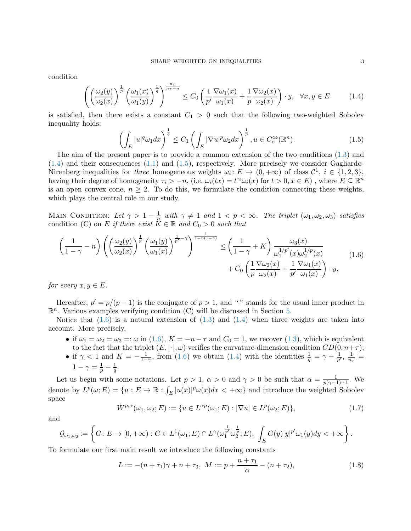condition

<span id="page-2-0"></span>
$$
\left( \left( \frac{\omega_2(y)}{\omega_2(x)} \right)^{\frac{1}{p}} \left( \frac{\omega_1(x)}{\omega_1(y)} \right)^{\frac{1}{q}} \right)^{\frac{n\tau}{n\tau - n}} \le C_0 \left( \frac{1}{p'} \frac{\nabla \omega_1(x)}{\omega_1(x)} + \frac{1}{p} \frac{\nabla \omega_2(x)}{\omega_2(x)} \right) \cdot y, \quad \forall x, y \in E \tag{1.4}
$$

is satisfied, then there exists a constant  $C_1 > 0$  such that the following two-weighted Sobolev inequality holds:

<span id="page-2-1"></span>
$$
\left(\int_{E} |u|^{q} \omega_{1} dx\right)^{\frac{1}{q}} \leq C_{1} \left(\int_{E} |\nabla u|^{p} \omega_{2} dx\right)^{\frac{1}{p}}, u \in C_{c}^{\infty}(\mathbb{R}^{n}).\tag{1.5}
$$

The aim of the present paper is to provide a common extension of the two conditions [\(1.3\)](#page-1-2) and [\(1.4\)](#page-2-0) and their consequences [\(1.1\)](#page-1-0) and [\(1.5\)](#page-2-1), respectively. More precisely we consider Gagliardo-Nirenberg inequalities for three homogeneous weights  $\omega_i: E \to (0, +\infty)$  of class  $\mathcal{C}^1$ ,  $i \in \{1, 2, 3\}$ , having their degree of homogeneity  $\tau_i > -n$ , (i.e.  $\omega_i(tx) = t^{\tau_i}\omega_i(x)$  for  $t > 0, x \in E$ ), where  $E \subseteq \mathbb{R}^n$ is an open convex cone,  $n \geq 2$ . To do this, we formulate the condition connecting these weights, which plays the central role in our study.

MAIN CONDITION: Let  $\gamma > 1 - \frac{1}{n}$  $\frac{1}{n}$  with  $\gamma \neq 1$  and  $1 < p < \infty$ . The triplet  $(\omega_1, \omega_2, \omega_3)$  satisfies condition (C) on E if there exist  $K \in \mathbb{R}$  and  $C_0 > 0$  such that

<span id="page-2-2"></span>
$$
\left(\frac{1}{1-\gamma}-n\right)\left(\left(\frac{\omega_2(y)}{\omega_2(x)}\right)^{\frac{1}{p}}\left(\frac{\omega_1(y)}{\omega_1(x)}\right)^{\frac{1}{p'}-\gamma}\right)^{\frac{1}{1-n(1-\gamma)}} \leq \left(\frac{1}{1-\gamma}+K\right)\frac{\omega_3(x)}{\omega_1^{1/p'}(x)\omega_2^{1/p}(x)} + C_0\left(\frac{1}{p}\frac{\nabla\omega_2(x)}{\omega_2(x)}+\frac{1}{p'}\frac{\nabla\omega_1(x)}{\omega_1(x)}\right)\cdot y,
$$
\n(1.6)

for every  $x, y \in E$ .

Hereafter,  $p' = p/(p-1)$  is the conjugate of  $p > 1$ , and "<sup>\*</sup>" stands for the usual inner product in  $\mathbb{R}^n$ . Various examples verifying condition (C) will be discussed in Section [5.](#page-28-0)

Notice that  $(1.6)$  is a natural extension of  $(1.3)$  and  $(1.4)$  when three weights are taken into account. More precisely,

- if  $\omega_1 = \omega_2 = \omega_3 =: \omega$  in [\(1.6\)](#page-2-2),  $K = -n \tau$  and  $C_0 = 1$ , we recover [\(1.3\)](#page-1-2), which is equivalent to the fact that the triplet  $(E, \vert \cdot \vert, \omega)$  verifies the curvature-dimension condition  $CD(0, n+\tau)$ ;
- if  $\gamma < 1$  and  $K = -\frac{1}{1-\gamma}$ , from [\(1.6\)](#page-2-2) we obtain [\(1.4\)](#page-2-0) with the identities  $\frac{1}{q} = \gamma \frac{1}{p'}$ ,  $\frac{1}{n_z}$  $\frac{1}{n_{\tau}}=$  $1 - \gamma = \frac{1}{p} - \frac{1}{q}$  $\frac{1}{q}$ .

Let us begin with some notations. Let  $p > 1$ ,  $\alpha > 0$  and  $\gamma > 0$  be such that  $\alpha = \frac{1}{p(\gamma-1)+1}$ . We denote by  $L^p(\omega; E) = \{u : E \to \mathbb{R} : \int_E |u(x)|^p \omega(x) dx < +\infty\}$  and introduce the weighted Sobolev space

$$
\dot{W}^{p,\alpha}(\omega_1, \omega_2; E) := \{ u \in L^{\alpha p}(\omega_1; E) : |\nabla u| \in L^p(\omega_2; E) \},\tag{1.7}
$$

and

$$
\mathcal{G}_{\omega_1,\omega_2} := \left\{ G \colon E \to [0,+\infty) : G \in L^1(\omega_1; E) \cap L^{\gamma}(\omega_1^{\frac{1}{p'}} \omega_2^{\frac{1}{p}}; E), \int_E G(y)|y|^{p'} \omega_1(y) dy < +\infty \right\}.
$$

To formulate our first main result we introduce the following constants

<span id="page-2-3"></span>
$$
L := -(n + \tau_1)\gamma + n + \tau_3, \ M := p + \frac{n + \tau_1}{\alpha} - (n + \tau_2), \tag{1.8}
$$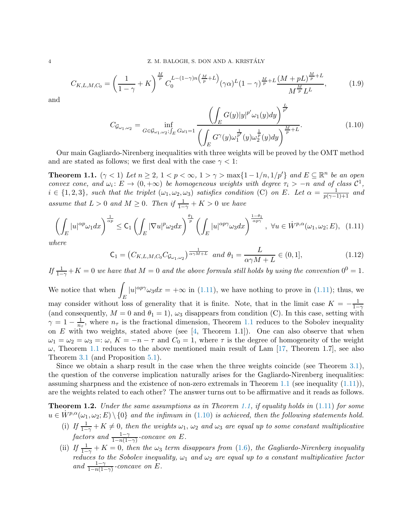<span id="page-3-5"></span>
$$
C_{K,L,M,C_0} = \left(\frac{1}{1-\gamma}+K\right)^{\frac{M}{p}} C_0^{L-(1-\gamma)n\left(\frac{M}{p}+L\right)} (\gamma\alpha)^L (1-\gamma)^{\frac{M}{p}+L} \frac{(M+pL)^{\frac{M}{p}+L}}{M^{\frac{M}{p}}L^L},\tag{1.9}
$$

and

<span id="page-3-3"></span>
$$
C_{\mathcal{G}_{\omega_1,\omega_2}} = \inf_{G \in \mathcal{G}_{\omega_1,\omega_2};\int_E G\omega_1 = 1} \frac{\left(\int_E G(y)|y|^{p'}\omega_1(y)dy\right)^{\frac{L}{p'}}}{\left(\int_E G^\gamma(y)\omega_1^{\frac{1}{p'}}(y)\omega_2^{\frac{1}{p}}(y)dy\right)^{\frac{M}{p}+L}}.
$$
(1.10)

Our main Gagliardo-Nirenberg inequalities with three weights will be proved by the OMT method and are stated as follows; we first deal with the case  $\gamma < 1$ :

<span id="page-3-0"></span>**Theorem 1.1.**  $(\gamma < 1)$  Let  $n \geq 2$ ,  $1 < p < \infty$ ,  $1 > \gamma > \max\{1 - 1/n, 1/p'\}$  and  $E \subseteq \mathbb{R}^n$  be an open convex cone, and  $\omega_i: E \to (0, +\infty)$  be homogeneous weights with degree  $\tau_i > -n$  and of class  $C^1$ ,  $i \in \{1,2,3\}$ , such that the triplet  $(\omega_1,\omega_2,\omega_3)$  satisfies condition (C) on E. Let  $\alpha = \frac{1}{p(\gamma-1)+1}$  and assume that  $L > 0$  and  $M \geq 0$ . Then if  $\frac{1}{1-\gamma} + K > 0$  we have

<span id="page-3-2"></span>
$$
\left(\int_{E} |u|^{\alpha p} \omega_1 dx\right)^{\frac{1}{\alpha p}} \leq \mathsf{C}_1 \left(\int_{E} |\nabla u|^p \omega_2 dx\right)^{\frac{\theta_1}{p}} \left(\int_{E} |u|^{\alpha p \gamma} \omega_3 dx\right)^{\frac{1-\theta_1}{\alpha p \gamma}}, \ \forall u \in \dot{W}^{p,\alpha}(\omega_1, \omega_2; E), \tag{1.11}
$$

where

<span id="page-3-4"></span>
$$
C_1 = (C_{K,L,M,C_0} C_{\mathcal{G}_{\omega_1,\omega_2}})^{\frac{1}{\alpha \gamma M + L}} \text{ and } \theta_1 = \frac{L}{\alpha \gamma M + L} \in (0,1],
$$
\n(1.12)

If  $\frac{1}{1-\gamma}+K=0$  we have that  $M=0$  and the above formula still holds by using the convention  $0^0=1$ . We notice that when  $\int$ E  $|u|^{\alpha p \gamma} \omega_3 dx = +\infty$  in [\(1.11\)](#page-3-2), we have nothing to prove in (1.11); thus, we may consider without loss of generality that it is finite. Note, that in the limit case  $K = -\frac{1}{1-}$  $1-\gamma$ (and consequently,  $M = 0$  and  $\theta_1 = 1$ ),  $\omega_3$  disappears from condition (C). In this case, setting with  $\gamma=1-\frac{1}{n}$  $\frac{1}{n_{\tau}}$ , where  $n_{\tau}$  is the fractional dimension, Theorem [1.1](#page-3-0) reduces to the Sobolev inequality on  $E$  with two weights, stated above (see [\[4,](#page-33-13) Theorem 1.1]). One can also observe that when  $\omega_1 = \omega_2 = \omega_3 =: \omega, K = -n - \tau$  and  $C_0 = 1$ , where  $\tau$  is the degree of homogeneity of the weight  $\omega$ , Theorem [1.1](#page-3-0) reduces to the above mentioned main result of Lam [\[17,](#page-33-6) Theorem 1.7], see also Theorem [3.1](#page-15-0) (and Proposition [5.1\)](#page-29-0).

Since we obtain a sharp result in the case when the three weights coincide (see Theorem [3.1\)](#page-15-0), the question of the converse implication naturally arises for the Gagliardo-Nirenberg inequalities: assuming sharpness and the existence of non-zero extremals in Theorem [1.1](#page-3-0) (see inequality  $(1.11)$ ), are the weights related to each other? The answer turns out to be affirmative and it reads as follows.

<span id="page-3-1"></span>**Theorem 1.2.** Under the same assumptions as in Theorem [1.1,](#page-3-0) if equality holds in  $(1.11)$  for some  $u \in \dot{W}^{p,\alpha}(\omega_1,\omega_2;E) \setminus \{0\}$  and the infimum in [\(1.10\)](#page-3-3) is achieved, then the following statements hold.

- (i) If  $\frac{1}{1-\gamma} + K \neq 0$ , then the weights  $\omega_1$ ,  $\omega_2$  and  $\omega_3$  are equal up to some constant multiplicative factors and  $\frac{1-\gamma}{1-n(1-\gamma)}$ -concave on E.
- (ii) If  $\frac{1}{1-\gamma} + K = 0$ , then the  $\omega_3$  term disappears from [\(1.6\)](#page-2-2), the Gagliardo-Nirenberg inequality reduces to the Sobolev inequality,  $\omega_1$  and  $\omega_2$  are equal up to a constant multiplicative factor and  $\frac{1-\gamma}{1-n(1-\gamma)}$ -concave on E.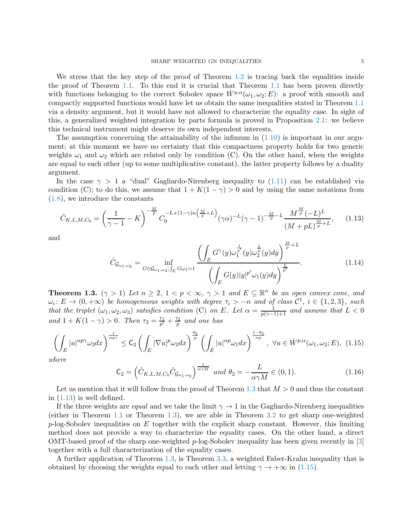We stress that the key step of the proof of Theorem [1.2](#page-3-1) is tracing back the equalities inside the proof of Theorem [1.1.](#page-3-0) To this end it is crucial that Theorem [1.1](#page-3-0) has been proven directly with functions belonging to the correct Sobolev space  $W^{p,\alpha}(\omega_1,\omega_2;E)$ : a proof with smooth and compactly supported functions would have let us obtain the same inequalities stated in Theorem [1.1](#page-3-0) via a density argument, but it would have not allowed to characterize the equality case. In sight of this, a generalized weighted integration by parts formula is proved in Proposition [2.1:](#page-6-0) we believe this technical instrument might deserve its own independent interests.

The assumption concerning the attainability of the infimum in  $(1.10)$  is important in our argument; at this moment we have no certainty that this compactness property holds for two generic weights  $\omega_1$  and  $\omega_2$  which are related only by condition (C). On the other hand, when the weights are equal to each other (up to some multiplicative constant), the latter property follows by a duality argument.

In the case  $\gamma > 1$  a "dual" Gagliardo-Nirenberg inequality to  $(1.11)$  can be established via condition (C); to do this, we assume that  $1 + K(1 - \gamma) > 0$  and by using the same notations from [\(1.8\)](#page-2-3), we introduce the constants

<span id="page-4-1"></span>
$$
\tilde{C}_{K,L,M,C_0} = \left(\frac{1}{\gamma - 1} - K\right)^{-\frac{M}{p}} C_0^{-L + (1 - \gamma)n\left(\frac{M}{p} + L\right)} (\gamma \alpha)^{-L} (\gamma - 1)^{-\frac{M}{p} - L} \frac{M^{\frac{M}{p}} (-L)^L}{\left(M + p\right)^{\frac{M}{p} + L}},\tag{1.13}
$$

and

$$
\tilde{C}_{\mathcal{G}_{\omega_1,\omega_2}} = \inf_{G \in \mathcal{G}_{\omega_1,\omega_2};\int_E} \frac{\left(\int_E G^\gamma(y)\omega_1^{\frac{1}{p'}}(y)\omega_2^{\frac{1}{p}}(y)dy\right)^{\frac{M}{p}+L}}{\left(\int_E G(y)|y|^{p'}\omega_1(y)dy\right)^{\frac{L}{p'}}}.
$$
\n(1.14)

<span id="page-4-0"></span>**Theorem 1.3.**  $(\gamma > 1)$  Let  $n \geq 2$ ,  $1 < p < \infty$ ,  $\gamma > 1$  and  $E \subseteq \mathbb{R}^n$  be an open convex cone, and  $\omega_i\colon E\to (0,+\infty)$  be homogeneous weights with degree  $\tau_i > -n$  and of class  $\mathcal{C}^1$ ,  $i\in \{1,2,3\}$ , such that the triplet  $(\omega_1, \omega_2, \omega_3)$  satisfies condition (C) on E. Let  $\alpha = \frac{1}{p(\gamma-1)+1}$  and assume that  $L < 0$ and  $1 + K(1 - \gamma) > 0$ . Then  $\tau_3 = \frac{\tau_1}{p'} + \frac{\tau_2}{p}$  and one has

<span id="page-4-2"></span>
$$
\left(\int_{E} |u|^{\alpha p \gamma} \omega_3 dx\right)^{\frac{1}{\alpha p \gamma}} \leq \mathsf{C}_2 \left(\int_{E} |\nabla u|^p \omega_2 dx\right)^{\frac{\theta_2}{p}} \left(\int_{E} |u|^{\alpha p} \omega_1 dx\right)^{\frac{1-\theta_2}{\alpha p}}, \ \forall u \in \dot{W}^{p,\alpha}(\omega_1, \omega_2; E), \ (1.15)
$$

where

<span id="page-4-3"></span>
$$
\mathsf{C}_2 = \left( \tilde{C}_{K,L,M,C_0} \tilde{C}_{\mathcal{G}_{\omega_1,\omega_2}} \right)^{\frac{1}{\alpha \gamma M}} \text{ and } \theta_2 = -\frac{L}{\alpha \gamma M} \in (0,1). \tag{1.16}
$$

Let us mention that it will follow from the proof of Theorem [1.3](#page-4-0) that  $M > 0$  and thus the constant in  $(1.13)$  is well defined.

If the three weights are *equal* and we take the limit  $\gamma \to 1$  in the Gagliardo-Nirenberg inequalities (either in Theorem [1.1](#page-3-0) or Theorem [1.3\)](#page-4-0), we are able in Theorem [3.2](#page-21-1) to get sharp one-weighted  $p$ -log-Sobolev inequalities on E together with the explicit sharp constant. However, this limiting method does not provide a way to characterize the equality cases. On the other hand, a direct OMT-based proof of the sharp one-weighted p-log-Sobolev inequality has been given recently in [\[3\]](#page-33-14) together with a full characterization of the equality cases.

A further application of Theorem [1.3,](#page-4-0) is Theorem [3.3,](#page-21-2) a weighted Faber-Krahn inequality that is obtained by choosing the weights equal to each other and letting  $\gamma \to +\infty$  in [\(1.15\)](#page-4-2).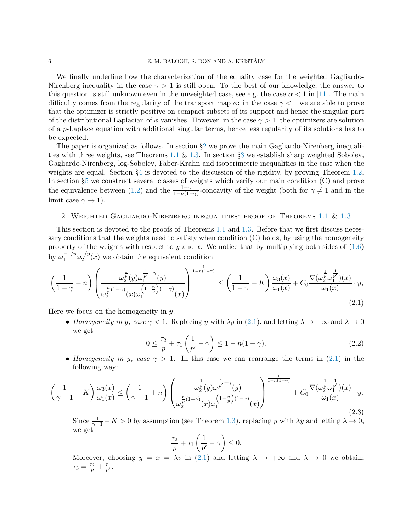We finally underline how the characterization of the equality case for the weighted Gagliardo-Nirenberg inequality in the case  $\gamma > 1$  is still open. To the best of our knowledge, the answer to this question is still unknown even in the unweighted case, see e.g. the case  $\alpha < 1$  in [\[11\]](#page-33-2). The main difficulty comes from the regularity of the transport map  $\phi$ : in the case  $\gamma < 1$  we are able to prove that the optimizer is strictly positive on compact subsets of its support and hence the singular part of the distributional Laplacian of  $\phi$  vanishes. However, in the case  $\gamma > 1$ , the optimizers are solution of a p-Laplace equation with additional singular terms, hence less regularity of its solutions has to be expected.

The paper is organized as follows. In section §[2](#page-5-0) we prove the main Gagliardo-Nirenberg inequali-ties with three weights, see Theorems [1.1](#page-3-0)  $\&$  [1.3.](#page-4-0) In section §[3](#page-14-0) we establish sharp weighted Sobolev, Gagliardo-Nirenberg, log-Sobolev, Faber-Krahn and isoperimetric inequalities in the case when the weights are equal. Section  $\S 4$  $\S 4$  is devoted to the discussion of the rigidity, by proving Theorem [1.2.](#page-3-1) In section §[5](#page-28-0) we construct several classes of weights which verify our main condition (C) and prove the equivalence between [\(1.2\)](#page-1-1) and the  $\frac{1-\gamma}{1-n(1-\gamma)}$ -concavity of the weight (both for  $\gamma \neq 1$  and in the limit case  $\gamma \to 1$ ).

#### <span id="page-5-0"></span>2. Weighted Gagliardo-Nirenberg inequalities: proof of Theorems [1.1](#page-3-0) & [1.3](#page-4-0)

This section is devoted to the proofs of Theorems [1.1](#page-3-0) and [1.3.](#page-4-0) Before that we first discuss necessary conditions that the weights need to satisfy when condition (C) holds, by using the homogeneity property of the weights with respect to y and x. We notice that by multiplying both sides of  $(1.6)$ by  $\omega_1^{-1/p} \omega_2^{1/p}$  $2^{1/p}(x)$  we obtain the equivalent condition

<span id="page-5-1"></span>
$$
\left(\frac{1}{1-\gamma}-n\right)\left(\frac{\omega_2^{\frac{1}{p}}(y)\omega_1^{\frac{1}{p'}-\gamma}(y)}{\omega_2^{\frac{n}{p}(1-\gamma)}(x)\omega_1^{(1-\frac{n}{p})(1-\gamma)}(x)}\right)^{\frac{1}{1-n(1-\gamma)}} \le \left(\frac{1}{1-\gamma}+K\right)\frac{\omega_3(x)}{\omega_1(x)} + C_0\frac{\nabla(\omega_2^{\frac{1}{p}}\omega_1^{\frac{1}{p'}})(x)}{\omega_1(x)}\cdot y,
$$
\n(2.1)

Here we focus on the homogeneity in  $y$ .

• Homogeneity in y, case  $\gamma < 1$ . Replacing y with  $\lambda y$  in [\(2.1\)](#page-5-1), and letting  $\lambda \to +\infty$  and  $\lambda \to 0$ we get

$$
0 \le \frac{\tau_2}{p} + \tau_1 \left(\frac{1}{p'} - \gamma\right) \le 1 - n(1 - \gamma). \tag{2.2}
$$

• Homogeneity in y, case  $\gamma > 1$ . In this case we can rearrange the terms in [\(2.1\)](#page-5-1) in the following way:

$$
\left(\frac{1}{\gamma-1} - K\right) \frac{\omega_3(x)}{\omega_1(x)} \le \left(\frac{1}{\gamma-1} + n\right) \left(\frac{\omega_2^{\frac{1}{p}}(y)\omega_1^{\frac{1}{p'}-\gamma}(y)}{\omega_2^{\frac{n}{p}(1-\gamma)}(x)\omega_1^{\left(1-\frac{n}{p}\right)(1-\gamma)}(x)}\right)^{\frac{1}{1-n(1-\gamma)}} + C_0 \frac{\nabla(\omega_2^{\frac{1}{p}}\omega_1^{\frac{1}{p'}})(x)}{\omega_1(x)} \cdot y. \tag{2.3}
$$

Since  $\frac{1}{\gamma-1} - K > 0$  by assumption (see Theorem [1.3\)](#page-4-0), replacing y with  $\lambda y$  and letting  $\lambda \to 0$ , we get

$$
\frac{\tau_2}{p} + \tau_1 \left( \frac{1}{p'} - \gamma \right) \le 0.
$$

Moreover, choosing  $y = x = \lambda v$  in [\(2.1\)](#page-5-1) and letting  $\lambda \to +\infty$  and  $\lambda \to 0$  we obtain:  $\tau_3 = \frac{\tau_2}{p} + \frac{\tau_1}{p'}$ .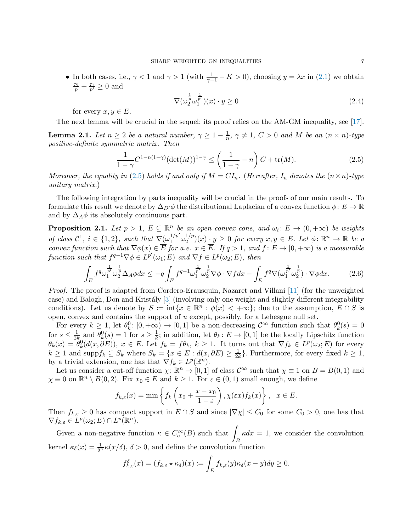• In both cases, i.e.,  $\gamma < 1$  and  $\gamma > 1$  (with  $\frac{1}{\gamma - 1} - K > 0$ ), choosing  $y = \lambda x$  in [\(2.1\)](#page-5-1) we obtain  $\frac{\tau_2}{p} + \frac{\tau_1}{p'} \geq 0$  and

<span id="page-6-4"></span>
$$
\nabla(\omega_2^{\frac{1}{p}} \omega_1^{\frac{1}{p'}})(x) \cdot y \ge 0 \tag{2.4}
$$

for every  $x, y \in E$ .

The next lemma will be crucial in the sequel; its proof relies on the AM-GM inequality, see [\[17\]](#page-33-6).

<span id="page-6-3"></span>**Lemma 2.1.** Let  $n \geq 2$  be a natural number,  $\gamma \geq 1 - \frac{1}{n}$  $\frac{1}{n}$ ,  $\gamma \neq 1$ ,  $C > 0$  and M be an  $(n \times n)$ -type positive-definite symmetric matrix. Then

<span id="page-6-1"></span>
$$
\frac{1}{1-\gamma}C^{1-n(1-\gamma)}(\det(M))^{1-\gamma} \le \left(\frac{1}{1-\gamma} - n\right)C + \text{tr}(M). \tag{2.5}
$$

Moreover, the equality in [\(2.5\)](#page-6-1) holds if and only if  $M = CI_n$ . (Hereafter,  $I_n$  denotes the  $(n \times n)$ -type unitary matrix.)

The following integration by parts inequality will be crucial in the proofs of our main results. To formulate this result we denote by  $\Delta_{D'}\phi$  the distributional Laplacian of a convex function  $\phi: E \to \mathbb{R}$ and by  $\Delta_A \phi$  its absolutely continuous part.

<span id="page-6-0"></span>**Proposition 2.1.** Let  $p > 1$ ,  $E \subseteq \mathbb{R}^n$  be an open convex cone, and  $\omega_i : E \to (0, +\infty)$  be weights of class  $C^1$ ,  $i \in \{1,2\}$ , such that  $\nabla(\omega_1^{1/p'} \omega_2^{1/p})$  $\mathcal{L}_2^{1/p}(x) \cdot y \geq 0$  for every  $x, y \in E$ . Let  $\phi \colon \mathbb{R}^n \to \mathbb{R}$  be a convex function such that  $\nabla \phi(x) \in E$  for a.e.  $x \in E$ . If  $q > 1$ , and  $f: E \to [0, +\infty)$  is a measurable function such that  $f^{q-1} \nabla \phi \in L^{p'}(\omega_1; E)$  and  $\nabla f \in L^p(\omega_2; E)$ , then

<span id="page-6-2"></span>
$$
\int_{E} f^{q} \omega_1^{\frac{1}{p'}} \omega_2^{\frac{1}{p}} \Delta_A \phi dx \le -q \int_{E} f^{q-1} \omega_1^{\frac{1}{p'}} \omega_2^{\frac{1}{p}} \nabla \phi \cdot \nabla f dx - \int_{E} f^{q} \nabla (\omega_1^{\frac{1}{p'}} \omega_2^{\frac{1}{p}}) \cdot \nabla \phi dx.
$$
 (2.6)

Proof. The proof is adapted from Cordero-Erausquin, Nazaret and Villani [\[11\]](#page-33-2) (for the unweighted case) and Balogh, Don and Kristály [\[3\]](#page-33-14) (involving only one weight and slightly different integrability conditions). Let us denote by  $S := \inf\{x \in \mathbb{R}^n : \phi(x) < +\infty\}$ ; due to the assumption,  $E \cap S$  is open, convex and contains the support of u except, possibly, for a Lebesgue null set.

For every  $k \geq 1$ , let  $\theta_k^0$ :  $[0, +\infty) \to [0, 1]$  be a non-decreasing  $\mathcal{C}^{\infty}$  function such that  $\theta_k^0(s) = 0$ for  $s \leq \frac{1}{2l}$  $\frac{1}{2k}$  and  $\theta_k^0(s) = 1$  for  $s \geq \frac{1}{k}$  $\frac{1}{k}$ ; in addition, let  $\theta_k: E \to [0, 1]$  be the locally Lipschitz function  $\theta_k(x) = \theta_k^0(d(x, \partial E))$ ,  $x \in E$ . Let  $f_k = f\theta_k$ ,  $k \ge 1$ . It turns out that  $\nabla f_k \in L^p(\omega_2; E)$  for every  $k \geq 1$  and supp $f_k \subseteq S_k$  where  $S_k = \{x \in E : d(x, \partial E) \geq \frac{1}{2l}\}$  $\frac{1}{2k}$ . Furthermore, for every fixed  $k \geq 1$ , by a trivial extension, one has that  $\nabla f_k \in L^p(\mathbb{R}^n)$ .

Let us consider a cut-off function  $\chi: \mathbb{R}^n \to [0,1]$  of class  $\mathcal{C}^{\infty}$  such that  $\chi \equiv 1$  on  $B = B(0,1)$  and  $\chi \equiv 0$  on  $\mathbb{R}^n \setminus B(0, 2)$ . Fix  $x_0 \in E$  and  $k \ge 1$ . For  $\varepsilon \in (0, 1)$  small enough, we define

$$
f_{k,\varepsilon}(x) = \min\left\{f_k\left(x_0 + \frac{x - x_0}{1 - \varepsilon}\right), \chi(\varepsilon x)f_k(x)\right\}, \quad x \in E.
$$

Then  $f_{k,\varepsilon} \geq 0$  has compact support in  $E \cap S$  and since  $|\nabla \chi| \leq C_0$  for some  $C_0 > 0$ , one has that  $\nabla f_{k,\varepsilon} \in L^p(\omega_2;E) \cap L^p(\mathbb{R}^n).$ 

Given a non-negative function  $\kappa \in C_c^{\infty}(B)$  such that  $\int_{-\infty}^{\infty} \kappa dx = 1$ , we consider the convolution kernel  $\kappa_{\delta}(x) = \frac{1}{\delta^n} \kappa(x/\delta), \ \delta > 0$ , and define the convolution function

$$
f_{k,\varepsilon}^{\delta}(x) = (f_{k,\varepsilon} \star \kappa_{\delta})(x) := \int_{E} f_{k,\varepsilon}(y) \kappa_{\delta}(x-y) dy \ge 0.
$$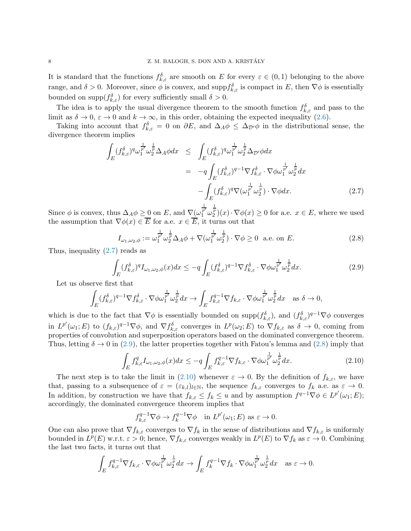It is standard that the functions  $f_{k,\varepsilon}^{\delta}$  are smooth on E for every  $\varepsilon \in (0,1)$  belonging to the above range, and  $\delta > 0$ . Moreover, since  $\phi$  is convex, and supp $f_{k,\varepsilon}^{\delta}$  is compact in E, then  $\nabla \phi$  is essentially bounded on  $\text{supp}(f_{k,\varepsilon}^{\delta})$  for every sufficiently small  $\delta > 0$ .

The idea is to apply the usual divergence theorem to the smooth function  $f_{k,\varepsilon}^{\delta}$  and pass to the limit as  $\delta \to 0$ ,  $\varepsilon \to 0$  and  $k \to \infty$ , in this order, obtaining the expected inequality [\(2.6\)](#page-6-2).

Taking into account that  $f_{k,\varepsilon}^{\delta} = 0$  on  $\partial E$ , and  $\Delta_A \phi \leq \Delta_{\mathcal{D}} \phi$  in the distributional sense, the divergence theorem implies

<span id="page-7-0"></span>
$$
\int_{E} (f_{k,\varepsilon}^{\delta})^q \omega_1^{\frac{1}{p'}} \omega_2^{\frac{1}{p}} \Delta_A \phi dx \le \int_{E} (f_{k,\varepsilon}^{\delta})^q \omega_1^{\frac{1}{p'}} \omega_2^{\frac{1}{p}} \Delta_{\mathcal{D}'} \phi dx \n= -q \int_{E} (f_{k,\varepsilon}^{\delta})^{q-1} \nabla f_{k,\varepsilon}^{\delta} \cdot \nabla \phi \omega_1^{\frac{1}{p'}} \omega_2^{\frac{1}{p}} dx \n- \int_{E} (f_{k,\varepsilon}^{\delta})^q \nabla (\omega_1^{\frac{1}{p'}} \omega_2^{\frac{1}{p}}) \cdot \nabla \phi dx.
$$
\n(2.7)

Since  $\phi$  is convex, thus  $\Delta_A \phi \geq 0$  on E, and  $\nabla(\omega)$  $\frac{\frac{1}{p'}}{1} \omega^{\frac{1}{p}}_2(x) \cdot \nabla \phi(x) \geq 0$  for a.e.  $x \in E$ , where we used the assumption that  $\nabla \phi(x) \in \overline{E}$  for a.e.  $x \in \overline{E}$ , it turns out that

<span id="page-7-2"></span>
$$
I_{\omega_1,\omega_2,\phi} := \omega_1^{\frac{1}{p'}} \omega_2^{\frac{1}{p}} \Delta_A \phi + \nabla(\omega_1^{\frac{1}{p'}} \omega_2^{\frac{1}{p}}) \cdot \nabla \phi \ge 0 \quad \text{a.e. on } E. \tag{2.8}
$$

Thus, inequality [\(2.7\)](#page-7-0) reads as

<span id="page-7-1"></span>
$$
\int_{E} (f_{k,\varepsilon}^{\delta})^{q} I_{\omega_{1},\omega_{2},\phi}(x) dx \leq -q \int_{E} (f_{k,\varepsilon}^{\delta})^{q-1} \nabla f_{k,\varepsilon}^{\delta} \cdot \nabla \phi \omega_{1}^{\frac{1}{p'}} \omega_{2}^{\frac{1}{p}} dx.
$$
\n(2.9)

Let us observe first that

$$
\int_{E} (f_{k,\varepsilon}^{\delta})^{q-1} \nabla f_{k,\varepsilon}^{\delta} \cdot \nabla \phi \omega_1^{\frac{1}{p'}} \omega_2^{\frac{1}{p}} dx \to \int_{E} f_{k,\varepsilon}^{q-1} \nabla f_{k,\varepsilon} \cdot \nabla \phi \omega_1^{\frac{1}{p'}} \omega_2^{\frac{1}{p}} dx \quad \text{as } \delta \to 0,
$$

which is due to the fact that  $\nabla \phi$  is essentially bounded on supp $(f_{k,\varepsilon}^{\delta}),$  and  $(f_{k,\varepsilon}^{\delta})^{q-1}\nabla \phi$  converges in  $L^{p'}(\omega_1; E)$  to  $(f_{k,\varepsilon})^{q-1} \nabla \phi$ , and  $\nabla f_{k,\varepsilon}^{\delta}$  converges in  $L^p(\omega_2; E)$  to  $\nabla f_{k,\varepsilon}$  as  $\delta \to 0$ , coming from properties of convolution and superposition operators based on the dominated convergence theorem. Thus, letting  $\delta \to 0$  in [\(2.9\)](#page-7-1), the latter properties together with Fatou's lemma and [\(2.8\)](#page-7-2) imply that

<span id="page-7-3"></span>
$$
\int_{E} f_{k,\varepsilon}^{q} I_{\omega_1,\omega_2,\phi}(x) dx \leq -q \int_{E} f_{k,\varepsilon}^{q-1} \nabla f_{k,\varepsilon} \cdot \nabla \phi \omega_1^{\frac{1}{p'}} \omega_2^{\frac{1}{p}} dx.
$$
\n(2.10)

The next step is to take the limit in [\(2.10\)](#page-7-3) whenever  $\varepsilon \to 0$ . By the definition of  $f_{k,\varepsilon}$ , we have that, passing to a subsequence of  $\varepsilon = (\varepsilon_{k,l})_{l \in \mathbb{N}}$ , the sequence  $f_{k,\varepsilon}$  converges to  $f_k$  a.e. as  $\varepsilon \to 0$ . In addition, by construction we have that  $f_{k,\varepsilon} \le f_k \le u$  and by assumption  $f^{q-1} \nabla \phi \in L^{p'}(\omega_1; E);$ accordingly, the dominated convergence theorem implies that

$$
f_{k,\varepsilon}^{q-1} \nabla \phi \to f_k^{q-1} \nabla \phi \quad \text{in } L^{p'}(\omega_1; E) \text{ as } \varepsilon \to 0.
$$

One can also prove that  $\nabla f_{k,\varepsilon}$  converges to  $\nabla f_k$  in the sense of distributions and  $\nabla f_{k,\varepsilon}$  is uniformly bounded in  $L^p(E)$  w.r.t.  $\varepsilon > 0$ ; hence,  $\nabla f_{k,\varepsilon}$  converges weakly in  $L^p(E)$  to  $\nabla f_k$  as  $\varepsilon \to 0$ . Combining the last two facts, it turns out that

$$
\int_{E} f_{k,\varepsilon}^{q-1} \nabla f_{k,\varepsilon} \cdot \nabla \phi \omega_1^{\frac{1}{p'}} \omega_2^{\frac{1}{p}} dx \to \int_{E} f_k^{q-1} \nabla f_k \cdot \nabla \phi \omega_1^{\frac{1}{p'}} \omega_2^{\frac{1}{p}} dx \quad \text{as } \varepsilon \to 0.
$$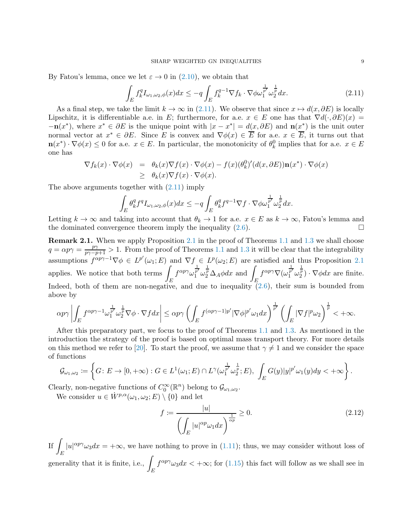By Fatou's lemma, once we let  $\varepsilon \to 0$  in [\(2.10\)](#page-7-3), we obtain that

<span id="page-8-0"></span>
$$
\int_{E} f_{k}^{q} I_{\omega_{1},\omega_{2},\phi}(x) dx \leq -q \int_{E} f_{k}^{q-1} \nabla f_{k} \cdot \nabla \phi \omega_{1}^{\frac{1}{p'}} \omega_{2}^{\frac{1}{p}} dx.
$$
\n(2.11)

As a final step, we take the limit  $k \to \infty$  in [\(2.11\)](#page-8-0). We observe that since  $x \mapsto d(x, \partial E)$  is locally Lipschitz, it is differentiable a.e. in E; furthermore, for a.e.  $x \in E$  one has that  $\nabla d(\cdot, \partial E)(x) =$  $-\mathbf{n}(x^*)$ , where  $x^* \in \partial E$  is the unique point with  $|x - x^*| = d(x, \partial E)$  and  $\mathbf{n}(x^*)$  is the unit outer normal vector at  $x^* \in \partial E$ . Since E is convex and  $\nabla \phi(x) \in \overline{E}$  for a.e.  $x \in \overline{E}$ , it turns out that  $\mathbf{n}(x^*) \cdot \nabla \phi(x) \leq 0$  for a.e.  $x \in E$ . In particular, the monotonicity of  $\theta_k^0$  implies that for a.e.  $x \in E$ one has

$$
\nabla f_k(x) \cdot \nabla \phi(x) = \theta_k(x) \nabla f(x) \cdot \nabla \phi(x) - f(x) (\theta_k^0)'(d(x, \partial E)) \mathbf{n}(x^*) \cdot \nabla \phi(x)
$$
  
\n
$$
\geq \theta_k(x) \nabla f(x) \cdot \nabla \phi(x).
$$

The above arguments together with [\(2.11\)](#page-8-0) imply

$$
\int_{E} \theta_k^q f^q I_{\omega_1, \omega_2, \phi}(x) dx \le -q \int_{E} \theta_k^q f^{q-1} \nabla f \cdot \nabla \phi \omega_1^{\frac{1}{p'}} \omega_2^{\frac{1}{p}} dx.
$$

Letting  $k \to \infty$  and taking into account that  $\theta_k \to 1$  for a.e.  $x \in E$  as  $k \to \infty$ , Fatou's lemma and the dominated convergence theorem imply the inequality  $(2.6)$ .

<span id="page-8-1"></span>Remark [2.1](#page-6-0). When we apply Proposition 2.1 in the proof of Theorems [1.1](#page-3-0) and [1.3](#page-4-0) we shall choose  $q = \alpha p \gamma = \frac{p\gamma}{p\gamma - p + 1} > 1$ . From the proof of Theorems [1.1](#page-3-0) and [1.3](#page-4-0) it will be clear that the integrability assumptions  $f^{\alpha p \gamma -1} \nabla \phi \in L^{p'}(\omega_1; E)$  and  $\nabla f \in L^p(\omega_2; E)$  are satisfied and thus Proposition [2.1](#page-6-0) applies. We notice that both terms  $\int$ E  $f^{\alpha p \gamma} \omega_1^{\frac{1}{p'}} \omega_2^{\frac{1}{p}} \Delta_A \phi dx$  and  $\int_E$  $f^{\alpha p \gamma} \nabla (\omega_1^{\frac{1}{p'}} \omega_2^{\frac{1}{p}}) \cdot \nabla \phi dx$  are finite. Indeed, both of them are non-negative, and due to inequality  $(2.6)$ , their sum is bounded from above by

$$
\alpha p \gamma \left| \int_E f^{\alpha p \gamma - 1} \omega_1^{\frac{1}{p'}} \omega_2^{\frac{1}{p}} \nabla \phi \cdot \nabla f dx \right| \leq \alpha p \gamma \left( \int_E f^{(\alpha p \gamma - 1) p'} |\nabla \phi|^{p'} \omega_1 dx \right)^{\frac{1}{p'}} \left( \int_E |\nabla f|^p \omega_2 \right)^{\frac{1}{p}} < +\infty.
$$

After this preparatory part, we focus to the proof of Theorems [1.1](#page-3-0) and [1.3.](#page-4-0) As mentioned in the introduction the strategy of the proof is based on optimal mass transport theory. For more details on this method we refer to [\[20\]](#page-33-3). To start the proof, we assume that  $\gamma \neq 1$  and we consider the space of functions

$$
\mathcal{G}_{\omega_1,\omega_2} := \left\{ G \colon E \to [0,+\infty) : G \in L^1(\omega_1; E) \cap L^{\gamma}(\omega_1^{\frac{1}{p'}} \omega_2^{\frac{1}{p}}; E), \int_E G(y)|y|^{p'} \omega_1(y) dy < +\infty \right\}.
$$

Clearly, non-negative functions of  $C_0^{\infty}(\mathbb{R}^n)$  belong to  $\mathcal{G}_{\omega_1,\omega_2}$ .

We consider  $u \in \dot{W}^{p,\alpha}(\omega_1, \omega_2; E) \setminus \{0\}$  and let

<span id="page-8-2"></span>
$$
f \coloneqq \frac{|u|}{\left(\int_E |u|^{\alpha p} \omega_1 dx\right)^{\frac{1}{\alpha p}}} \ge 0. \tag{2.12}
$$

If  $\overline{I}$ E  $|u|^{\alpha p \gamma} \omega_3 dx = +\infty$ , we have nothing to prove in [\(1.11\)](#page-3-2); thus, we may consider without loss of generality that it is finite, i.e.,  $\int$ E  $f^{\alpha p \gamma} \omega_3 dx < +\infty$ ; for [\(1.15\)](#page-4-2) this fact will follow as we shall see in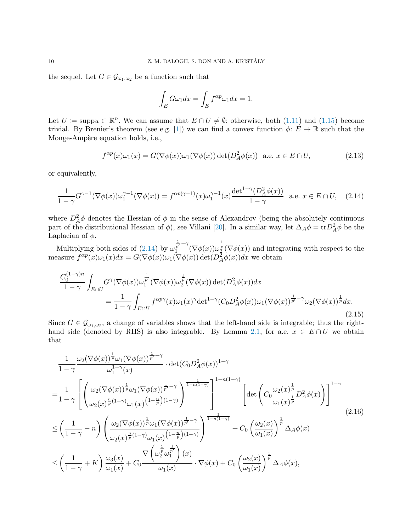the sequel. Let  $G \in \mathcal{G}_{\omega_1,\omega_2}$  be a function such that

$$
\int_E G\omega_1 dx = \int_E f^{\alpha p} \omega_1 dx = 1.
$$

Let  $U \coloneqq \text{supp} u \subset \mathbb{R}^n$ . We can assume that  $E \cap U \neq \emptyset$ ; otherwise, both [\(1.11\)](#page-3-2) and [\(1.15\)](#page-4-2) become trivial. By Brenier's theorem (see e.g. [\[1\]](#page-32-2)) we can find a convex function  $\phi: E \to \mathbb{R}$  such that the Monge-Ampère equation holds, *i.e.*,

<span id="page-9-3"></span>
$$
f^{\alpha p}(x)\omega_1(x) = G(\nabla \phi(x))\omega_1(\nabla \phi(x)) \det(D_A^2 \phi(x)) \quad \text{a.e. } x \in E \cap U,
$$
\n(2.13)

or equivalently,

<span id="page-9-0"></span>
$$
\frac{1}{1-\gamma}G^{\gamma-1}(\nabla\phi(x))\omega_1^{\gamma-1}(\nabla\phi(x)) = f^{\alpha p(\gamma-1)}(x)\omega_1^{\gamma-1}(x)\frac{\det^{1-\gamma}(D_A^2\phi(x))}{1-\gamma} \quad \text{a.e. } x \in E \cap U,\tag{2.14}
$$

where  $D_A^2 \phi$  denotes the Hessian of  $\phi$  in the sense of Alexandrov (being the absolutely continuous part of the distributional Hessian of  $\phi$ ), see Villani [\[20\]](#page-33-3). In a similar way, let  $\Delta_A \phi = \text{tr} D_A^2 \phi$  be the Laplacian of  $\phi$ .

Multiplying both sides of  $(2.14)$  by  $\omega$  $\frac{1}{p'} - \gamma$  $\int_{\frac{1}{2}}^{\frac{1}{2}} \int_{1}^{\infty} (\nabla \phi(x)) \omega_{\frac{2}{2}}^{\frac{1}{2}} (\nabla \phi(x))$  and integrating with respect to the measure  $f^{\alpha p}(x)\omega_1(x)dx = G(\nabla\phi(x))\omega_1(\nabla\phi(x))\det(D_A^2\phi(x))dx$  we obtain

<span id="page-9-2"></span>
$$
\frac{C_0^{(1-\gamma)n}}{1-\gamma} \int_{E\cap U} G^\gamma(\nabla\phi(x))\omega_1^{\frac{1}{p'}}(\nabla\phi(x))\omega_2^{\frac{1}{p}}(\nabla\phi(x))\det(D_A^2\phi(x))dx
$$
  
= 
$$
\frac{1}{1-\gamma} \int_{E\cap U} f^{\alpha p\gamma}(x)\omega_1(x)^\gamma \det^{1-\gamma}(C_0D_A^2\phi(x))\omega_1(\nabla\phi(x))^{\frac{1}{p'}-\gamma}\omega_2(\nabla\phi(x))^{\frac{1}{p}}dx.
$$
(2.15)

Since  $G \in \mathcal{G}_{\omega_1,\omega_2}$ , a change of variables shows that the left-hand side is integrable; thus the right-hand side (denoted by RHS) is also integrable. By Lemma [2.1,](#page-6-3) for a.e.  $x \in E \cap U$  we obtain that

<span id="page-9-1"></span>
$$
\frac{1}{1-\gamma} \frac{\omega_2(\nabla\phi(x))^{\frac{1}{p}}\omega_1(\nabla\phi(x))^{\frac{1}{p'}-\gamma}}{\omega_1^{1-\gamma}(x)} \cdot \det(C_0 D_A^2 \phi(x))^{1-\gamma}
$$
\n
$$
=\frac{1}{1-\gamma} \left[ \left( \frac{\omega_2(\nabla\phi(x))^{\frac{1}{p}}\omega_1(\nabla\phi(x))^{\frac{1}{p'}-\gamma}}{\omega_2(x)^{\frac{n}{p}(1-\gamma)}\omega_1(x)^{(1-\frac{n}{p})(1-\gamma)}} \right)^{\frac{1-n(1-\gamma)}{1-n(1-\gamma)}} \left[ \det\left(C_0 \frac{\omega_2(x)^{\frac{1}{p}}}{\omega_1(x)^{\frac{1}{p}}} D_A^2 \phi(x) \right) \right]^{1-\gamma}
$$
\n
$$
\leq \left( \frac{1}{1-\gamma} - n \right) \left( \frac{\omega_2(\nabla\phi(x))^{\frac{1}{p}}\omega_1(\nabla\phi(x))^{\frac{1}{p'}-\gamma}}{\omega_2(x)^{\frac{n}{p}(1-\gamma)}\omega_1(x)^{(1-\frac{n}{p})(1-\gamma)}} \right)^{\frac{1}{1-n(1-\gamma)}} + C_0 \left( \frac{\omega_2(x)}{\omega_1(x)} \right)^{\frac{1}{p}} \Delta_A \phi(x)
$$
\n
$$
\leq \left( \frac{1}{1-\gamma} + K \right) \frac{\omega_3(x)}{\omega_1(x)} + C_0 \frac{\nabla \left( \omega_2^{\frac{1}{p}}\omega_1^{\frac{1}{p'}} \right)(x)}{\omega_1(x)} \cdot \nabla \phi(x) + C_0 \left( \frac{\omega_2(x)}{\omega_1(x)} \right)^{\frac{1}{p}} \Delta_A \phi(x),
$$
\n(2.16)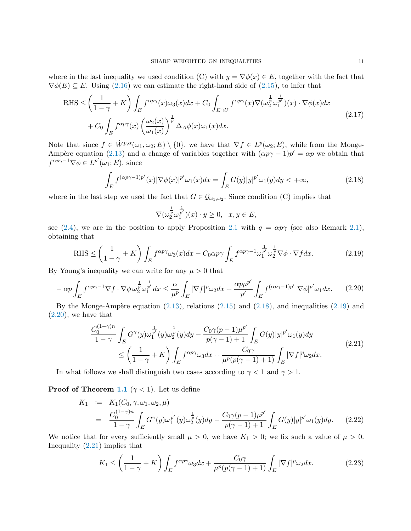where in the last inequality we used condition (C) with  $y = \nabla \phi(x) \in E$ , together with the fact that  $\nabla \phi(E) \subseteq E$ . Using [\(2.16\)](#page-9-1) we can estimate the right-hand side of [\(2.15\)](#page-9-2), to infer that

<span id="page-10-5"></span>RHS 
$$
\leq \left(\frac{1}{1-\gamma}+K\right) \int_{E} f^{\alpha p \gamma}(x) \omega_{3}(x) dx + C_{0} \int_{E \cap U} f^{\alpha p \gamma}(x) \nabla(\omega_{2}^{\frac{1}{p}} \omega_{1}^{\frac{1}{p'}})(x) \cdot \nabla \phi(x) dx
$$
  
+  $C_{0} \int_{E} f^{\alpha p \gamma}(x) \left(\frac{\omega_{2}(x)}{\omega_{1}(x)}\right)^{\frac{1}{p}} \Delta_{A} \phi(x) \omega_{1}(x) dx.$  (2.17)

Note that since  $f \in \dot{W}^{p,\alpha}(\omega_1,\omega_2;E) \setminus \{0\}$ , we have that  $\nabla f \in L^p(\omega_2;E)$ , while from the Monge-Ampère equation [\(2.13\)](#page-9-3) and a change of variables together with  $(\alpha p \gamma - 1)p' = \alpha p$  we obtain that  $f^{\alpha p \gamma -1} \nabla \phi \in L^{p'}(\omega_1; E)$ , since

<span id="page-10-0"></span>
$$
\int_{E} f^{(\alpha p\gamma - 1)p'}(x) |\nabla \phi(x)|^{p'} \omega_1(x) dx = \int_{E} G(y) |y|^{p'} \omega_1(y) dy < +\infty,
$$
\n(2.18)

where in the last step we used the fact that  $G \in \mathcal{G}_{\omega_1,\omega_2}$ . Since condition (C) implies that

$$
\nabla(\omega_2^{\frac{1}{p}}\omega_1^{\frac{1}{p'}})(x)\cdot y\geq 0, \quad x,y\in E,
$$

see [\(2.4\)](#page-6-4), we are in the position to apply Proposition [2.1](#page-6-0) with  $q = \alpha p \gamma$  (see also Remark [2.1\)](#page-8-1), obtaining that

<span id="page-10-1"></span>
$$
\text{RHS} \le \left(\frac{1}{1-\gamma} + K\right) \int_{E} f^{\alpha p \gamma} \omega_3(x) dx - C_0 \alpha p \gamma \int_{E} f^{\alpha p \gamma - 1} \omega_1^{\frac{1}{p'}} \omega_2^{\frac{1}{p}} \nabla \phi \cdot \nabla f dx. \tag{2.19}
$$

By Young's inequality we can write for any  $\mu > 0$  that

<span id="page-10-2"></span>
$$
-\alpha p \int_{E} f^{\alpha p \gamma - 1} \nabla f \cdot \nabla \phi \,\omega_{2}^{\frac{1}{p}} \omega_{1}^{\frac{1}{p'}} dx \leq \frac{\alpha}{\mu^{p}} \int_{E} |\nabla f|^{p} \omega_{2} dx + \frac{\alpha p \mu^{p'}}{p'} \int_{E} f^{(\alpha p \gamma - 1)p'} |\nabla \phi|^{p'} \omega_{1} dx. \tag{2.20}
$$

By the Monge-Ampère equation  $(2.13)$ , relations  $(2.15)$  and  $(2.18)$ , and inequalities  $(2.19)$  and [\(2.20\)](#page-10-2), we have that

<span id="page-10-3"></span>
$$
\frac{C_0^{(1-\gamma)n}}{1-\gamma} \int_E G^{\gamma}(y) \omega_1^{\frac{1}{p'}}(y) \omega_2^{\frac{1}{p}}(y) dy - \frac{C_0 \gamma(p-1) \mu^{p'}}{p(\gamma-1)+1} \int_E G(y)|y|^{p'} \omega_1(y) dy \n\le \left(\frac{1}{1-\gamma} + K\right) \int_E f^{\alpha p \gamma} \omega_3 dx + \frac{C_0 \gamma}{\mu^p(p(\gamma-1)+1)} \int_E |\nabla f|^p \omega_2 dx.
$$
\n(2.21)

In what follows we shall distinguish two cases according to  $\gamma < 1$  and  $\gamma > 1$ .

**Proof of Theorem [1.1](#page-3-0)** ( $\gamma$  < 1). Let us define

$$
K_1 := K_1(C_0, \gamma, \omega_1, \omega_2, \mu)
$$
  
= 
$$
\frac{C_0^{(1-\gamma)n}}{1-\gamma} \int_E G^{\gamma}(y) \omega_1^{\frac{1}{p'}}(y) \omega_2^{\frac{1}{p}}(y) dy - \frac{C_0 \gamma(p-1) \mu^{p'}}{p(\gamma-1)+1} \int_E G(y) |y|^{p'} \omega_1(y) dy.
$$
 (2.22)

We notice that for every sufficiently small  $\mu > 0$ , we have  $K_1 > 0$ ; we fix such a value of  $\mu > 0$ . Inequality [\(2.21\)](#page-10-3) implies that

<span id="page-10-4"></span>
$$
K_1 \le \left(\frac{1}{1-\gamma} + K\right) \int_E f^{\alpha p \gamma} \omega_3 dx + \frac{C_0 \gamma}{\mu^p (p(\gamma - 1) + 1)} \int_E |\nabla f|^p \omega_2 dx. \tag{2.23}
$$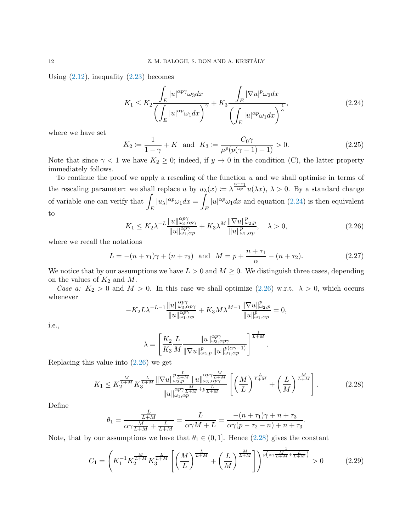Using  $(2.12)$ , inequality  $(2.23)$  becomes

<span id="page-11-0"></span>
$$
K_1 \le K_2 \frac{\int_E |u|^{\alpha p \gamma} \omega_3 dx}{\left(\int_E |u|^{\alpha p} \omega_1 dx\right)^{\gamma}} + K_3 \frac{\int_E |\nabla u|^p \omega_2 dx}{\left(\int_E |u|^{\alpha p} \omega_1 dx\right)^{\frac{1}{\alpha}}},\tag{2.24}
$$

where we have set

$$
K_2 := \frac{1}{1 - \gamma} + K \text{ and } K_3 := \frac{C_0 \gamma}{\mu^p (p(\gamma - 1) + 1)} > 0. \tag{2.25}
$$

Note that since  $\gamma < 1$  we have  $K_2 \geq 0$ ; indeed, if  $y \to 0$  in the condition (C), the latter property immediately follows.

To continue the proof we apply a rescaling of the function  $u$  and we shall optimise in terms of the rescaling parameter: we shall replace u by  $u_{\lambda}(x) := \lambda^{\frac{n+\tau_1}{\alpha p}} u(\lambda x)$ ,  $\lambda > 0$ . By a standard change of variable one can verify that E  $|u_\lambda|^{\alpha p} \omega_1 dx =$ E  $|u|^{\alpha p}\omega_1 dx$  and equation [\(2.24\)](#page-11-0) is then equivalent to

<span id="page-11-1"></span>
$$
K_1 \le K_2 \lambda^{-L} \frac{\|u\|_{\omega_3, \alpha p\gamma}^{\alpha p\gamma}}{\|u\|_{\omega_1, \alpha p}^{\alpha p\gamma}} + K_3 \lambda^M \frac{\|\nabla u\|_{\omega_2, p}^p}{\|u\|_{\omega_1, \alpha p}^p}, \quad \lambda > 0,
$$
\n(2.26)

where we recall the notations

$$
L = -(n + \tau_1)\gamma + (n + \tau_3) \text{ and } M = p + \frac{n + \tau_1}{\alpha} - (n + \tau_2). \tag{2.27}
$$

We notice that by our assumptions we have  $L > 0$  and  $M \geq 0$ . We distinguish three cases, depending on the values of  $K_2$  and  $M$ .

Case a:  $K_2 > 0$  and  $M > 0$ . In this case we shall optimize [\(2.26\)](#page-11-1) w.r.t.  $\lambda > 0$ , which occurs whenever

$$
-K_2 L \lambda^{-L-1} \frac{\|u\|_{\omega_3, \alpha p \gamma}^{\alpha p \gamma}}{\|u\|_{\omega_1, \alpha p}^{\alpha p \gamma}} + K_3 M \lambda^{M-1} \frac{\|\nabla u\|_{\omega_2, p}^p}{\|u\|_{\omega_1, \alpha p}^p} = 0,
$$

i.e.,

$$
\lambda = \left[ \frac{K_2}{K_3} \frac{L}{M} \frac{\|u\|_{\omega_3,\alpha p\gamma}^{\alpha p\gamma}}{\|\nabla u\|_{\omega_2,p}^p \|u\|_{\omega_1,\alpha p}^{p(\alpha \gamma - 1)}} \right]^{\frac{1}{L + M}}.
$$

Replacing this value into [\(2.26\)](#page-11-1) we get

<span id="page-11-2"></span>
$$
K_1 \le K_2^{\frac{M}{L+M}} K_3^{\frac{L}{L+M}} \frac{\|\nabla u\|_{\omega_{2},p}^{\frac{L}{L+M}} \|u\|_{\omega_{3},\alpha p\gamma}^{\alpha p\gamma} }{\|u\|_{\omega_{1},\alpha p}^{\alpha p\gamma} \frac{M}{L+M} + \sum_{L+M}^{L} \left[ \left(\frac{M}{L}\right)^{\frac{L}{L+M}} + \left(\frac{L}{M}\right)^{\frac{M}{L+M}} \right].
$$
 (2.28)

Define

$$
\theta_1 = \frac{\frac{L}{L+M}}{\alpha \gamma \frac{M}{L+M} + \frac{L}{L+M}} = \frac{L}{\alpha \gamma M + L} = \frac{-(n+\tau_1)\gamma + n+\tau_3}{\alpha \gamma (p-\tau_2-n) + n+\tau_3}.
$$

Note, that by our assumptions we have that  $\theta_1 \in (0,1]$ . Hence  $(2.28)$  gives the constant

<span id="page-11-3"></span>
$$
C_1 = \left( K_1^{-1} K_2^{\frac{M}{L+M}} K_3^{\frac{L}{L+M}} \left[ \left( \frac{M}{L} \right)^{\frac{L}{L+M}} + \left( \frac{L}{M} \right)^{\frac{M}{L+M}} \right] \right)^{\frac{1}{p(\alpha \gamma \frac{M}{L+M} + \frac{L}{L+M})}} > 0 \tag{2.29}
$$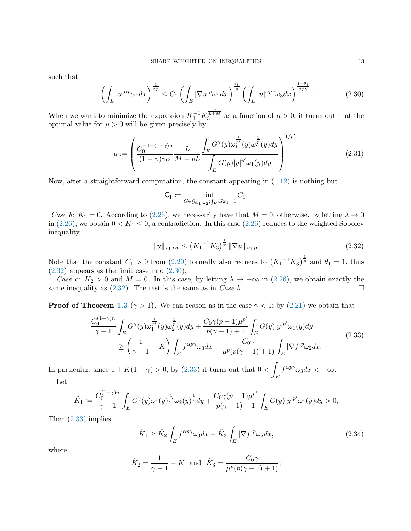such that

<span id="page-12-1"></span>
$$
\left(\int_{E} |u|^{\alpha p} \omega_1 dx\right)^{\frac{1}{\alpha p}} \le C_1 \left(\int_{E} |\nabla u|^p \omega_2 dx\right)^{\frac{\theta_1}{p}} \left(\int_{E} |u|^{\alpha p \gamma} \omega_3 dx\right)^{\frac{1-\theta_1}{\alpha p \gamma}}.\tag{2.30}
$$

When we want to minimize the expression  $K_1^{-1} K_3^{\frac{L}{L+M}}$  as a function of  $\mu > 0$ , it turns out that the optimal value for  $\mu > 0$  will be given precisely by

<span id="page-12-4"></span>
$$
\mu := \left( \frac{C_0^{-1+(1-\gamma)n}}{(1-\gamma)\gamma\alpha} \frac{L}{M+pL} \frac{\int_E G^\gamma(y)\omega_1^{\frac{1}{p'}}(y)\omega_2^{\frac{1}{p}}(y)dy}{\int_E G(y)|y|^{p'}\omega_1(y)dy} \right)^{1/p'}.
$$
\n(2.31)

Now, after a straightforward computation, the constant appearing in  $(1.12)$  is nothing but

$$
\mathsf{C}_1 \coloneqq \inf_{G \in \mathcal{G}_{\omega_1, \omega_2}; \int_E G \omega_1 = 1} C_1.
$$

Case b:  $K_2 = 0$ . According to [\(2.26\)](#page-11-1), we necessarily have that  $M = 0$ ; otherwise, by letting  $\lambda \to 0$ in [\(2.26\)](#page-11-1), we obtain  $0 < K_1 \leq 0$ , a contradiction. In this case (2.26) reduces to the weighted Sobolev inequality

<span id="page-12-0"></span>
$$
||u||_{\omega_1,\alpha p} \le (K_1^{-1}K_3)^{\frac{1}{p}} ||\nabla u||_{\omega_2,p}.
$$
\n(2.32)

Note that the constant  $C_1 > 0$  from [\(2.29\)](#page-11-3) formally also reduces to  $(K_1^{-1}K_3)^{\frac{1}{p}}$  and  $\theta_1 = 1$ , thus  $(2.32)$  appears as the limit case into  $(2.30)$ .

Case c:  $K_2 > 0$  and  $M = 0$ . In this case, by letting  $\lambda \to +\infty$  in [\(2.26\)](#page-11-1), we obtain exactly the same inequality as [\(2.32\)](#page-12-0). The rest is the same as in *Case b*.

**Proof of Theorem [1.3](#page-4-0)** ( $\gamma > 1$ ). We can reason as in the case  $\gamma < 1$ ; by [\(2.21\)](#page-10-3) we obtain that

<span id="page-12-2"></span>
$$
\frac{C_0^{(1-\gamma)n}}{\gamma-1} \int_E G^\gamma(y) \omega_1^{\frac{1}{p'}}(y) \omega_2^{\frac{1}{p}}(y) dy + \frac{C_0 \gamma(p-1)\mu^{p'}}{p(\gamma-1)+1} \int_E G(y)|y|^{p'} \omega_1(y) dy
$$
\n
$$
\geq \left(\frac{1}{\gamma-1} - K\right) \int_E f^{\alpha p \gamma} \omega_3 dx - \frac{C_0 \gamma}{\mu^p(p(\gamma-1)+1)} \int_E |\nabla f|^p \omega_2 dx.
$$
\n(2.33)

In particular, since  $1 + K(1 - \gamma) > 0$ , by [\(2.33\)](#page-12-2) it turns out that  $0 < \gamma$ E  $f^{\alpha p \gamma} \omega_3 dx < +\infty.$ 

Let

$$
\tilde{K}_1 := \frac{C_0^{(1-\gamma)n}}{\gamma-1} \int_E G^{\gamma}(y) \omega_1(y)^{\frac{1}{p'}} \omega_2(y)^{\frac{1}{p}} dy + \frac{C_0 \gamma(p-1) \mu^{p'}}{p(\gamma-1)+1} \int_E G(y) |y|^{p'} \omega_1(y) dy > 0,
$$

Then [\(2.33\)](#page-12-2) implies

<span id="page-12-3"></span>
$$
\tilde{K}_1 \ge \tilde{K}_2 \int_E f^{\alpha p \gamma} \omega_3 dx - \tilde{K}_3 \int_E |\nabla f|^p \omega_2 dx,\tag{2.34}
$$

where

$$
\tilde{K}_2 = \frac{1}{\gamma - 1} - K
$$
 and  $\tilde{K}_3 = \frac{C_0 \gamma}{\mu^p (p(\gamma - 1) + 1)}$ ;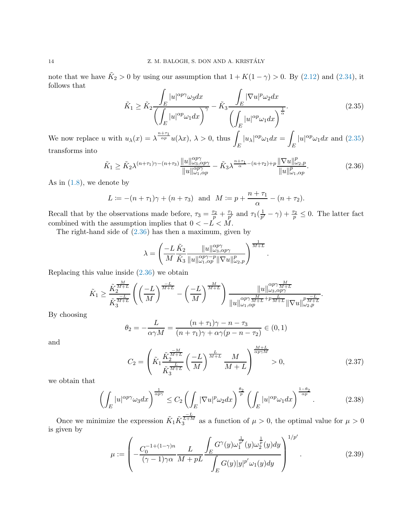note that we have  $\tilde{K}_2 > 0$  by using our assumption that  $1 + K(1 - \gamma) > 0$ . By [\(2.12\)](#page-8-2) and [\(2.34\)](#page-12-3), it follows that

<span id="page-13-0"></span>
$$
\tilde{K}_1 \ge \tilde{K}_2 \frac{\int_E |u|^{\alpha p \gamma} \omega_3 dx}{\left(\int_E |u|^{\alpha p} \omega_1 dx\right)^\gamma} - \tilde{K}_3 \frac{\int_E |\nabla u|^p \omega_2 dx}{\left(\int_E |u|^{\alpha p} \omega_1 dx\right)^\frac{1}{\alpha}}.
$$
\n(2.35)

We now replace u with  $u_{\lambda}(x) = \lambda^{\frac{n+\tau_1}{\alpha p}} u(\lambda x), \lambda > 0$ , thus E  $|u_\lambda|^{\alpha p} \omega_1 dx =$ E  $|u|^{\alpha p} \omega_1 dx$  and  $(2.35)$ transforms into

<span id="page-13-1"></span>
$$
\tilde{K}_1 \ge \tilde{K}_2 \lambda^{(n+\tau_1)\gamma - (n+\tau_3)} \frac{\|u\|_{\omega_3, \alpha p\gamma}^{\alpha p\gamma}}{\|u\|_{\omega_1, \alpha p}^{\alpha p\gamma}} - \tilde{K}_3 \lambda^{\frac{n+\tau_1}{\alpha} - (n+\tau_2) + p} \frac{\|\nabla u\|_{\omega_2, p}^p}{\|u\|_{\omega_1, \alpha p}^p}.
$$
\n(2.36)

As in  $(1.8)$ , we denote by

$$
L := -(n + \tau_1)\gamma + (n + \tau_3)
$$
 and  $M := p + \frac{n + \tau_1}{\alpha} - (n + \tau_2)$ .

Recall that by the observations made before,  $\tau_3 = \frac{\tau_2}{p} + \frac{\tau_1}{p'}$  and  $\tau_1(\frac{1}{p'}$  $(\frac{1}{p'} - \gamma) + \frac{\tau_2}{p} \leq 0$ . The latter fact combined with the assumption implies that  $0 < -L < M$ .

The right-hand side of [\(2.36\)](#page-13-1) has then a maximum, given by

$$
\lambda = \left(\frac{-L}{M}\frac{\tilde{K}_2}{\tilde{K}_3}\frac{\|u\|_{\omega_3,\alpha p\gamma}^{\alpha p\gamma}}{\|u\|_{\omega_1,\alpha p}^{\alpha p\gamma-p}\|\nabla u\|_{\omega_2,p}^p}\right)^{\frac{1}{M+L}}
$$

Replacing this value inside [\(2.36\)](#page-13-1) we obtain

$$
\tilde{K}_1 \geq \frac{\tilde{K}_2^{\frac{M}{M+L}}}{\tilde{K}_3^{\frac{-L}{M+L}}} \left(\left(\frac{-L}{M}\right)^{\frac{-L}{M+L}} - \left(\frac{-L}{M}\right)^{\frac{M}{M+L}}\right) \frac{\|u\|_{\omega_3, \alpha p \gamma}^{\frac{M}{M+L}}}{\|u\|_{\omega_1, \alpha p}^{\alpha p \gamma \frac{M}{M+L} + p \frac{L}{M+L}} \| \nabla u \|^{\frac{p}{M+L}}_{\omega_2, p}}.
$$

By choosing

$$
\theta_2 = -\frac{L}{\alpha \gamma M} = \frac{(n+\tau_1)\gamma - n - \tau_3}{(n+\tau_1)\gamma + \alpha \gamma (p-n-\tau_2)} \in (0,1)
$$

and

$$
C_2 = \left(\tilde{K}_1 \frac{\tilde{K}_2^{\frac{-M}{M+L}}}{\tilde{K}_3^{\frac{L}{M+L}}} \left(\frac{-L}{M}\right)^{\frac{L}{M+L}} \frac{M}{M+L}\right)^{\frac{M+L}{\alpha p \gamma M}} > 0, \tag{2.37}
$$

 $\lambda + \lambda$ 

.

we obtain that

$$
\left(\int_{E} |u|^{\alpha p \gamma} \omega_3 dx\right)^{\frac{1}{\alpha p \gamma}} \le C_2 \left(\int_{E} |\nabla u|^p \omega_2 dx\right)^{\frac{\theta_2}{p}} \left(\int_{E} |u|^{\alpha p} \omega_1 dx\right)^{\frac{1-\theta_2}{\alpha p}}.\tag{2.38}
$$

Once we minimize the expression  $\tilde{K}_1 \tilde{K}_3^{\frac{1}{L+M}}$  as a function of  $\mu > 0$ , the optimal value for  $\mu > 0$ is given by

$$
\mu := \left( -\frac{C_0^{-1+(1-\gamma)n}}{(\gamma-1)\gamma\alpha} \frac{L}{M+pL} \frac{\int_E G^\gamma(y)\omega_1^{\frac{1}{p'}}(y)\omega_2^{\frac{1}{p}}(y)dy}{\int_E G(y)|y|^{p'}\omega_1(y)dy} \right)^{1/p'}.
$$
\n(2.39)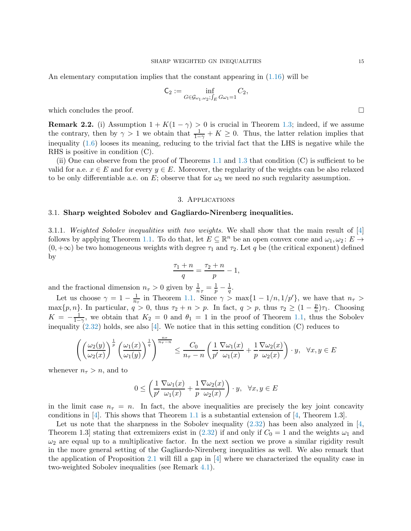An elementary computation implies that the constant appearing in [\(1.16\)](#page-4-3) will be

$$
\mathsf{C}_2 := \inf_{G \in \mathcal{G}_{\omega_1, \omega_2}; \int_E G \omega_1 = 1} C_2,
$$

which concludes the proof.  $\Box$ 

**Remark 2.2.** (i) Assumption  $1 + K(1 - \gamma) > 0$  is crucial in Theorem [1.3;](#page-4-0) indeed, if we assume the contrary, then by  $\gamma > 1$  we obtain that  $\frac{1}{1-\gamma} + K \geq 0$ . Thus, the latter relation implies that inequality [\(1.6\)](#page-2-2) looses its meaning, reducing to the trivial fact that the LHS is negative while the RHS is positive in condition (C).

(ii) One can observe from the proof of Theorems  $1.1$  and  $1.3$  that condition (C) is sufficient to be valid for a.e.  $x \in E$  and for every  $y \in E$ . Moreover, the regularity of the weights can be also relaxed to be only differentiable a.e. on E; observe that for  $\omega_3$  we need no such regularity assumption.

#### 3. Applications

## <span id="page-14-1"></span><span id="page-14-0"></span>3.1. Sharp weighted Sobolev and Gagliardo-Nirenberg inequalities.

3.1.1. Weighted Sobolev inequalities with two weights. We shall show that the main result of [\[4\]](#page-33-13) follows by applying Theorem [1.1.](#page-3-0) To do that, let  $E \subseteq \mathbb{R}^n$  be an open convex cone and  $\omega_1, \omega_2 \colon E \to$  $(0, +\infty)$  be two homogeneous weights with degree  $\tau_1$  and  $\tau_2$ . Let q be (the critical exponent) defined by

$$
\frac{\tau_1 + n}{q} = \frac{\tau_2 + n}{p} - 1,
$$

and the fractional dimension  $n_{\tau} > 0$  given by  $\frac{1}{n_{\tau}} = \frac{1}{p} - \frac{1}{q}$  $\frac{1}{q}$ .

Let us choose  $\gamma = 1 - \frac{1}{n_{\tau}}$  in Theorem [1.1.](#page-3-0) Since  $\gamma > \max\{1 - 1/n, 1/p'\}$ , we have that  $n_{\tau} >$ max $\{p, n\}$ . In particular,  $q > 0$ , thus  $\tau_2 + n > p$ . In fact,  $q > p$ , thus  $\tau_2 \geq (1 - \frac{p}{n})$  $\frac{p}{n}\big)\tau_1$ . Choosing  $K = -\frac{1}{1-}$  $\frac{1}{1-\gamma}$ , we obtain that  $K_2 = 0$  and  $\theta_1 = 1$  in the proof of Theorem [1.1,](#page-3-0) thus the Sobolev inequality  $(2.32)$  holds, see also [\[4\]](#page-33-13). We notice that in this setting condition (C) reduces to

$$
\left(\left(\frac{\omega_2(y)}{\omega_2(x)}\right)^{\frac{1}{p}} \left(\frac{\omega_1(x)}{\omega_1(y)}\right)^{\frac{1}{q}}\right)^{\frac{n\tau}{n_{\tau}-n}} \le \frac{C_0}{n_{\tau}-n} \left(\frac{1}{p'}\frac{\nabla\omega_1(x)}{\omega_1(x)} + \frac{1}{p}\frac{\nabla\omega_2(x)}{\omega_2(x)}\right) \cdot y, \quad \forall x, y \in E
$$

whenever  $n_{\tau} > n$ , and to

$$
0 \le \left(\frac{1}{p'}\frac{\nabla \omega_1(x)}{\omega_1(x)} + \frac{1}{p}\frac{\nabla \omega_2(x)}{\omega_2(x)}\right) \cdot y, \ \ \forall x, y \in E
$$

in the limit case  $n<sub>\tau</sub> = n$ . In fact, the above inequalities are precisely the key joint concavity conditions in [\[4\]](#page-33-13). This shows that Theorem [1.1](#page-3-0) is a substantial extension of [\[4,](#page-33-13) Theorem 1.3].

Let us note that the sharpness in the Sobolev inequality  $(2.32)$  has been also analyzed in [\[4,](#page-33-13)] Theorem 1.3] stating that extremizers exist in [\(2.32\)](#page-12-0) if and only if  $C_0 = 1$  and the weights  $\omega_1$  and  $\omega_2$  are equal up to a multiplicative factor. In the next section we prove a similar rigidity result in the more general setting of the Gagliardo-Nirenberg inequalities as well. We also remark that the application of Proposition [2.1](#page-6-0) will fill a gap in [\[4\]](#page-33-13) where we characterized the equality case in two-weighted Sobolev inequalities (see Remark [4.1\)](#page-28-2).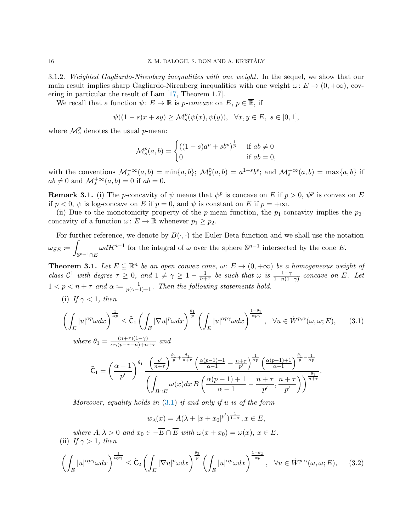3.1.2. Weighted Gagliardo-Nirenberg inequalities with one weight. In the sequel, we show that our main result implies sharp Gagliardo-Nirenberg inequalities with one weight  $\omega: E \to (0, +\infty)$ , covering in particular the result of Lam [\[17,](#page-33-6) Theorem 1.7].

We recall that a function  $\psi: E \to \mathbb{R}$  is p-concave on E,  $p \in \overline{\mathbb{R}}$ , if

$$
\psi((1-s)x+sy)\geq {\mathcal M}_s^p(\psi(x),\psi(y)),\quad \forall x,y\in E,\ s\in [0,1],
$$

where  $\mathcal{M}_s^p$  denotes the usual *p*-mean:

$$
\mathcal{M}_s^p(a,b) = \begin{cases} ((1-s)a^p + sb^p)^{\frac{1}{p}} & \text{if } ab \neq 0\\ 0 & \text{if } ab = 0, \end{cases}
$$

with the conventions  $\mathcal{M}_s^{-\infty}(a,b) = \min\{a,b\}; \ \mathcal{M}_s^0(a,b) = a^{1-s}b^s;$  and  $\mathcal{M}_s^{+\infty}(a,b) = \max\{a,b\}$  if  $ab \neq 0$  and  $\mathcal{M}_s^{+\infty}(a, b) = 0$  if  $ab = 0$ .

<span id="page-15-3"></span>**Remark 3.1.** (i) The *p*-concavity of  $\psi$  means that  $\psi^p$  is concave on E if  $p > 0$ ,  $\psi^p$  is convex on E if  $p < 0$ ,  $\psi$  is log-concave on E if  $p = 0$ , and  $\psi$  is constant on E if  $p = +\infty$ .

(ii) Due to the monotonicity property of the p-mean function, the  $p_1$ -concavity implies the  $p_2$ concavity of a function  $\omega: E \to \mathbb{R}$  whenever  $p_1 \geq p_2$ .

For further reference, we denote by  $B(\cdot, \cdot)$  the Euler-Beta function and we shall use the notation  $\omega_{SE} \coloneqq$  $\mathbb{S}^{n-1}\cap E$  $\omega d\mathcal{H}^{n-1}$  for the integral of  $\omega$  over the sphere  $\mathbb{S}^{n-1}$  intersected by the cone E.

<span id="page-15-0"></span>**Theorem 3.1.** Let  $E \subseteq \mathbb{R}^n$  be an open convex cone,  $\omega: E \to (0, +\infty)$  be a homogeneous weight of class  $\mathcal{C}^1$  with degree  $\tau \geq 0$ , and  $1 \neq \gamma \geq 1 - \frac{1}{n+1}$  $\frac{1}{n+\tau}$  be such that  $\omega$  is  $\frac{1-\gamma}{1-n(1-\gamma)}$ -concave on E. Let  $1 < p < n + \tau$  and  $\alpha := \frac{1}{p(\gamma-1)+1}$ . Then the following statements hold.

(i) If  $\gamma < 1$ , then

<span id="page-15-1"></span>
$$
\left(\int_{E} |u|^{\alpha p} \omega dx\right)^{\frac{1}{\alpha p}} \leq \tilde{C}_{1} \left(\int_{E} |\nabla u|^{p} \omega dx\right)^{\frac{\theta_{1}}{p}} \left(\int_{E} |u|^{\alpha p} \omega dx\right)^{\frac{1-\theta_{1}}{\alpha p \gamma}}, \quad \forall u \in \dot{W}^{p,\alpha}(\omega,\omega;E), \tag{3.1}
$$
\n
$$
\text{where } \theta_{1} = \frac{(n+\tau)(1-\gamma)}{\alpha \gamma(p-\tau-n)+n+\tau} \text{ and}
$$

$$
\tilde{\mathsf{C}}_1 = \left(\frac{\alpha-1}{p'}\right)^{\theta_1} \frac{\left(\frac{p'}{n+\tau}\right)^{\frac{\theta_1}{p} + \frac{\theta_1}{n+\tau}} \left(\frac{\alpha(p-1)+1}{\alpha-1} - \frac{n+\tau}{p'}\right)^{\frac{1}{\alpha p}} \left(\frac{\alpha(p-1)+1}{\alpha-1}\right)^{\frac{\theta_1}{p} - \frac{1}{\alpha p}}}{\left(\int_{B \cap E} \omega(x) dx B\left(\frac{\alpha(p-1)+1}{\alpha-1} - \frac{n+\tau}{p'}, \frac{n+\tau}{p'}\right)\right)^{\frac{\theta_1}{n+\tau}}}.
$$

Moreover, equality holds in  $(3.1)$  if and only if u is of the form

$$
w_{\lambda}(x) = A(\lambda + |x + x_0|^{p'})^{\frac{1}{1-\alpha}}, x \in E,
$$

where  $A, \lambda > 0$  and  $x_0 \in -\overline{E} \cap \overline{E}$  with  $\omega(x + x_0) = \omega(x), x \in E$ . (ii) If  $\gamma > 1$ , then

<span id="page-15-2"></span>
$$
\left(\int_{E} |u|^{\alpha p \gamma} \omega dx\right)^{\frac{1}{\alpha p \gamma}} \leq \tilde{C}_{2} \left(\int_{E} |\nabla u|^{p} \omega dx\right)^{\frac{\theta_{2}}{p}} \left(\int_{E} |u|^{\alpha p} \omega dx\right)^{\frac{1-\theta_{2}}{\alpha p}}, \quad \forall u \in \dot{W}^{p,\alpha}(\omega,\omega;E),\tag{3.2}
$$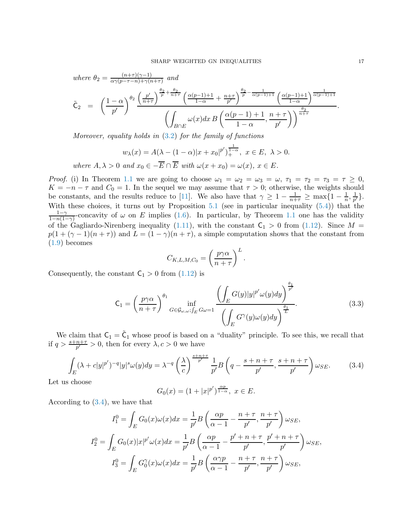where 
$$
\theta_2 = \frac{(n+\tau)(\gamma-1)}{\alpha\gamma(p-\tau-n)+\gamma(n+\tau)}
$$
 and  
\n
$$
\tilde{C}_2 = \left(\frac{1-\alpha}{p'}\right)^{\theta_2} \frac{\left(\frac{p'}{n+\tau}\right)^{\frac{\theta_2}{p}+\frac{\theta_2}{n+\tau}} \left(\frac{\alpha(p-1)+1}{1-\alpha}+\frac{n+\tau}{p'}\right)^{\frac{\theta_2}{p}-\frac{1}{\alpha(p-1)+1}} \left(\frac{\alpha(p-1)+1}{1-\alpha}\right)^{\frac{1}{\alpha(p-1)+1}}}{\left(\int_{B\cap E} \omega(x)dx B\left(\frac{\alpha(p-1)+1}{1-\alpha},\frac{n+\tau}{p'}\right)\right)^{\frac{\theta_2}{n+\tau}}}
$$

Moreover, equality holds in [\(3.2\)](#page-15-2) for the family of functions

$$
w_{\lambda}(x) = A(\lambda - (1 - \alpha)|x + x_0|^{p'})^{\frac{1}{1 - \alpha}}, \ x \in E, \ \lambda > 0.
$$

where  $A, \lambda > 0$  and  $x_0 \in -\overline{E} \cap \overline{E}$  with  $\omega(x + x_0) = \omega(x), x \in E$ .

*Proof.* (i) In Theorem [1.1](#page-3-0) we are going to choose  $\omega_1 = \omega_2 = \omega_3 = \omega$ ,  $\tau_1 = \tau_2 = \tau_3 = \tau \ge 0$ ,  $K = -n - \tau$  and  $C_0 = 1$ . In the sequel we may assume that  $\tau > 0$ ; otherwise, the weights should be constants, and the results reduce to [\[11\]](#page-33-2). We also have that  $\gamma \geq 1 - \frac{1}{n+\tau} \geq \max\{1 - \frac{1}{n}\}$  $\frac{1}{n}, \frac{1}{p'}$  $\frac{1}{p'}\big\}.$ With these choices, it turns out by Proposition [5.1](#page-29-0) (see in particular inequality [\(5.4\)](#page-29-1)) that the  $1-\gamma$  $\frac{1-\gamma}{1-n(1-\gamma)}$ -concavity of  $\omega$  on E implies [\(1.6\)](#page-2-2). In particular, by Theorem [1.1](#page-3-0) one has the validity of the Gagliardo-Nirenberg inequality [\(1.11\)](#page-3-2), with the constant  $C_1 > 0$  from [\(1.12\)](#page-3-4). Since  $M =$  $p(1 + (\gamma - 1)(n + \tau))$  and  $L = (1 - \gamma)(n + \tau)$ , a simple computation shows that the constant from [\(1.9\)](#page-3-5) becomes

$$
C_{K,L,M,C_0} = \left(\frac{p\gamma\alpha}{n+\tau}\right)^L.
$$

Consequently, the constant  $C_1 > 0$  from  $(1.12)$  is

<span id="page-16-1"></span>
$$
\mathsf{C}_{1} = \left(\frac{p\gamma\alpha}{n+\tau}\right)^{\theta_{1}} \inf_{G \in \mathcal{G}_{\omega,\omega};\int_{E} G \omega = 1} \frac{\left(\int_{E} G(y)|y|^{p'}\omega(y)dy\right)^{\frac{\theta_{1}}{p'}}}{\left(\int_{E} G^{\gamma}(y)\omega(y)dy\right)^{\frac{\theta_{1}}{L}}}.
$$
\n(3.3)

We claim that  $C_1 = \tilde{C}_1$  whose proof is based on a "duality" principle. To see this, we recall that if  $q > \frac{s+n+\tau}{p'} > 0$ , then for every  $\lambda, c > 0$  we have

<span id="page-16-0"></span>
$$
\int_{E} (\lambda + c|y|^{p'})^{-q} |y|^s \omega(y) dy = \lambda^{-q} \left(\frac{\lambda}{c}\right)^{\frac{s+n+\tau}{p'}} \frac{1}{p'} B\left(q - \frac{s+n+\tau}{p'}, \frac{s+n+\tau}{p'}\right) \omega_{SE}.
$$
 (3.4)

Let us choose

$$
G_0(x) = (1 + |x|^{p'})^{\frac{\alpha p}{1 - \alpha}}, \ x \in E.
$$

According to [\(3.4\)](#page-16-0), we have that

$$
I_1^0 = \int_E G_0(x)\omega(x)dx = \frac{1}{p'}B\left(\frac{\alpha p}{\alpha - 1} - \frac{n + \tau}{p'}, \frac{n + \tau}{p'}\right)\omega_{SE},
$$
  
\n
$$
I_2^0 = \int_E G_0(x)|x|^{p'}\omega(x)dx = \frac{1}{p'}B\left(\frac{\alpha p}{\alpha - 1} - \frac{p' + n + \tau}{p'}, \frac{p' + n + \tau}{p'}\right)\omega_{SE},
$$
  
\n
$$
I_3^0 = \int_E G_0^{\gamma}(x)\omega(x)dx = \frac{1}{p'}B\left(\frac{\alpha \gamma p}{\alpha - 1} - \frac{n + \tau}{p'}, \frac{n + \tau}{p'}\right)\omega_{SE},
$$

.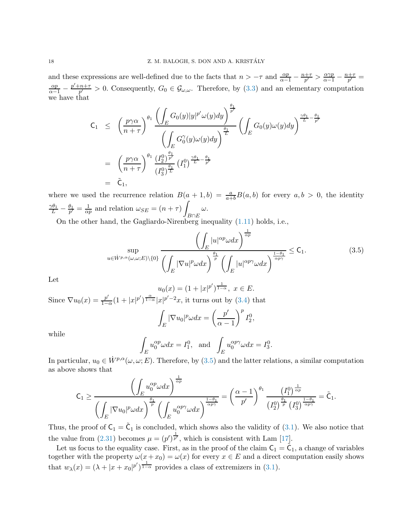and these expressions are well-defined due to the facts that  $n > -\tau$  and  $\frac{\alpha p}{\alpha - 1} - \frac{n + \tau}{p'}$  $\frac{1+\tau}{p'} > \frac{\alpha \gamma p}{\alpha-1} - \frac{n+\tau}{p'}$  $\frac{+\tau}{p'}=$  $\frac{\alpha p}{\alpha-1} - \frac{p'+n+\tau}{p'}$  $\frac{p+1}{p'} > 0$ . Consequently,  $G_0 \in \mathcal{G}_{\omega,\omega}$ . Therefore, by  $(3.3)$  and an elementary computation we have that

$$
C_1 \leq \left(\frac{p\gamma\alpha}{n+\tau}\right)^{\theta_1} \frac{\left(\displaystyle{\int_E G_0(y)|y|^{p'}\omega(y)dy}\right)^{\frac{\theta_1}{p'}}}{\left(\displaystyle{\int_E G_0^{\gamma}(y)\omega(y)dy}\right)^{\frac{\theta_1}{L}}} \left(\displaystyle{\int_E G_0(y)\omega(y)dy}\right)^{\frac{\gamma\theta_1}{L} - \frac{\theta_1}{p'}}\n= \left(\frac{p\gamma\alpha}{n+\tau}\right)^{\theta_1} \frac{\left(I_2^0\right)^{\frac{\theta_1}{p'}}}{\left(I_3^0\right)^{\frac{\theta_1}{L}}} \left(I_1^0\right)^{\frac{\gamma\theta_1}{L} - \frac{\theta_1}{p'}}\n= \tilde{C}_1,
$$

where we used the recurrence relation  $B(a + 1, b) = \frac{a}{a+b}B(a, b)$  for every  $a, b > 0$ , the identity  $\frac{\gamma\theta_1}{L}-\frac{\theta_1}{p'}=\frac{1}{\alpha p}$  $\frac{1}{\alpha p}$  and relation  $\omega_{SE} = (n + \tau)$  $B \cap E$ ω.

On the other hand, the Gagliardo-Nirenberg inequality [\(1.11\)](#page-3-2) holds, i.e.,

<span id="page-17-0"></span>
$$
\sum_{u \in \dot{W}^{p,\alpha}(\omega,\omega;E)\backslash\{0\}} \frac{\left(\int_{E} |u|^{\alpha p} \omega dx\right)^{\frac{1}{\alpha p}}}{\left(\int_{E} |\nabla u|^p \omega dx\right)^{\frac{\theta_{1}}{p}} \left(\int_{E} |u|^{\alpha p \gamma} \omega dx\right)^{\frac{1-\theta_{1}}{\alpha p \gamma}}} \leq \mathsf{C}_{1}.
$$
\n(3.5)

Let

$$
u_0(x) = (1 + |x|^{p'})^{\frac{1}{1-\alpha}}, \ x \in E.
$$

Since  $\nabla u_0(x) = \frac{p'}{1-x}$  $\frac{p'}{1-\alpha}(1+|x|^{p'})^{\frac{\alpha}{1-\alpha}}|x|^{p'-2}x$ , it turns out by [\(3.4\)](#page-16-0) that

$$
\int_{E} |\nabla u_0|^p \omega dx = \left(\frac{p'}{\alpha - 1}\right)^p I_2^0,
$$

while

$$
\int_{E} u_0^{\alpha p} \omega dx = I_1^0, \text{ and } \int_{E} u_0^{\alpha p \gamma} \omega dx = I_3^0.
$$

In particular,  $u_0 \in \dot{W}^{p,\alpha}(\omega,\omega;E)$ . Therefore, by  $(3.5)$  and the latter relations, a similar computation as above shows that

$$
\mathsf{C}_1 \geq \frac{\left(\int_E u_0^{\alpha p} \omega dx\right)^{\frac{1}{\alpha p}}}{\left(\int_E |\nabla u_0|^p \omega dx\right)^{\frac{\theta_1}{p}} \left(\int_E u_0^{\alpha p \gamma} \omega dx\right)^{\frac{1-\theta_1}{\alpha p \gamma}}} = \left(\frac{\alpha-1}{p'}\right)^{\theta_1} \frac{\left(I_1^0\right)^{\frac{1}{\alpha p}}}{\left(I_2^0\right)^{\frac{\theta_1}{p}} \left(I_3^0\right)^{\frac{1-\theta_1}{\alpha p \gamma}}} = \tilde{\mathsf{C}}_1.
$$

Thus, the proof of  $C_1 = \tilde{C}_1$  is concluded, which shows also the validity of [\(3.1\)](#page-15-1). We also notice that the value from [\(2.31\)](#page-12-4) becomes  $\mu = (p')^{\frac{1}{p'}}$ , which is consistent with Lam [\[17\]](#page-33-6).

Let us focus to the equality case. First, as in the proof of the claim  $C_1 = \tilde{C}_1$ , a change of variables together with the property  $\omega(x+x_0) = \omega(x)$  for every  $x \in E$  and a direct computation easily shows that  $w_{\lambda}(x) = (\lambda + |x + x_0|^{p'})^{\frac{1}{1-\alpha}}$  provides a class of extremizers in [\(3.1\)](#page-15-1).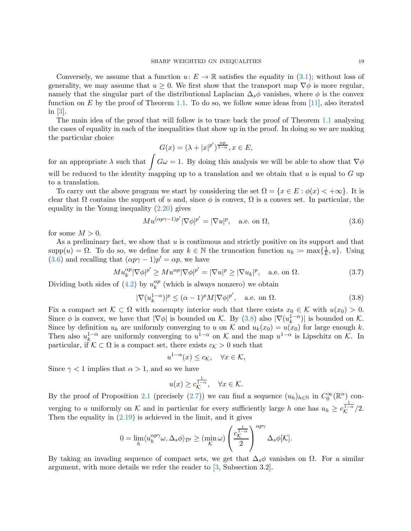Conversely, we assume that a function  $u: E \to \mathbb{R}$  satisfies the equality in [\(3.1\)](#page-15-1); without loss of generality, we may assume that  $u \geq 0$ . We first show that the transport map  $\nabla \phi$  is more regular, namely that the singular part of the distributional Laplacian  $\Delta_s \phi$  vanishes, where  $\phi$  is the convex function on  $E$  by the proof of Theorem [1.1.](#page-3-0) To do so, we follow some ideas from [\[11\]](#page-33-2), also iterated in [\[3\]](#page-33-14).

The main idea of the proof that will follow is to trace back the proof of Theorem [1.1](#page-3-0) analysing the cases of equality in each of the inequalities that show up in the proof. In doing so we are making the particular choice

$$
G(x) = (\lambda + |x|^{p'})^{\frac{\alpha p}{1-\alpha}}, x \in E,
$$

for an appropriate  $\lambda$  such that  $\int G\omega = 1$ . By doing this analysis we will be able to show that  $\nabla \phi$ will be reduced to the identity mapping up to a translation and we obtain that  $u$  is equal to  $G$  up to a translation.

To carry out the above program we start by considering the set  $\Omega = \{x \in E : \phi(x) < +\infty\}$ . It is clear that  $\Omega$  contains the support of u and, since  $\phi$  is convex,  $\Omega$  is a convex set. In particular, the equality in the Young inequality  $(2.20)$  gives

<span id="page-18-0"></span>
$$
Mu^{(\alpha p\gamma - 1)p'}|\nabla \phi|^{p'} = |\nabla u|^p, \quad \text{a.e. on } \Omega,
$$
\n(3.6)

for some  $M > 0$ .

As a preliminary fact, we show that  $u$  is continuous and strictly positive on its support and that  $\text{supp}(u) = \Omega$ . To do so, we define for any  $k \in \mathbb{N}$  the truncation function  $u_k := \max\{\frac{1}{k}\}$  $\frac{1}{k}, u\}$ . Using [\(3.6\)](#page-18-0) and recalling that  $(\alpha p \gamma - 1)p' = \alpha p$ , we have

$$
Mu_k^{\alpha p} |\nabla \phi|^{p'} \ge M u^{\alpha p} |\nabla \phi|^{p'} = |\nabla u|^p \ge |\nabla u_k|^p, \quad \text{a.e. on } \Omega.
$$
 (3.7)

Dividing both sides of  $(4.2)$  by  $u_k^{\alpha p}$  $\binom{\alpha p}{k}$  (which is always nonzero) we obtain

<span id="page-18-1"></span>
$$
|\nabla(u_k^{1-\alpha})|^p \le (\alpha - 1)^p M |\nabla \phi|^{p'}, \quad \text{a.e. on } \Omega.
$$
 (3.8)

Fix a compact set  $K \subset \Omega$  with nonempty interior such that there exists  $x_0 \in \mathcal{K}$  with  $u(x_0) > 0$ . Since  $\phi$  is convex, we have that  $|\nabla \phi|$  is bounded on K. By [\(3.8\)](#page-18-1) also  $|\nabla (u_k^{1-\alpha})|$  $\lfloor k^{1-\alpha} \rfloor$  is bounded on K. Since by definition  $u_k$  are uniformly converging to u on K and  $u_k(x_0) = u(x_0)$  for large enough k. Then also  $u_k^{1-\alpha}$  $\mu_k^{1-\alpha}$  are uniformly converging to  $u^{1-\alpha}$  on K and the map  $u^{1-\alpha}$  is Lipschitz on K. In particular, if  $K \subset \Omega$  is a compact set, there exists  $c_K > 0$  such that

$$
u^{1-\alpha}(x) \leq c_{\mathcal{K}}, \quad \forall x \in \mathcal{K},
$$

Since  $\gamma$  < 1 implies that  $\alpha$  > 1, and so we have

$$
u(x) \ge c_{\mathcal{K}}^{\frac{1}{1-\alpha}}, \quad \forall x \in \mathcal{K}.
$$

By the proof of Proposition [2.1](#page-6-0) (precisely [\(2.7\)](#page-7-0)) we can find a sequence  $(u_h)_{h\in\mathbb{N}}$  in  $C_0^{\infty}(\mathbb{R}^n)$  converging to u uniformly on K and in particular for every sufficiently large h one has  $u_h \geq c_K^{\frac{1}{1-\alpha}}/2$ . Then the equality in [\(2.19\)](#page-10-1) is achieved in the limit, and it gives

$$
0 = \lim_h \langle u_h^{\alpha p \gamma} \omega, \Delta_s \phi \rangle_{\mathcal{D}'} \geq (\min_{\mathcal{K}} \omega) \left( \frac{c_{\mathcal{K}}^{\frac{1}{1-\alpha}}}{2} \right)^{\alpha p \gamma} \Delta_s \phi[\mathcal{K}].
$$

By taking an invading sequence of compact sets, we get that  $\Delta_s \phi$  vanishes on  $\Omega$ . For a similar argument, with more details we refer the reader to [\[3,](#page-33-14) Subsection 3.2].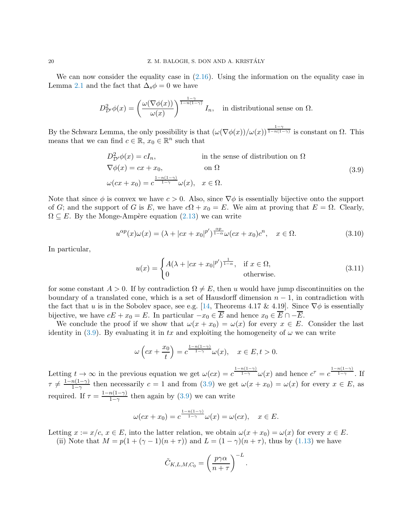We can now consider the equality case in  $(2.16)$ . Using the information on the equality case in Lemma [2.1](#page-6-3) and the fact that  $\Delta_s \phi = 0$  we have

$$
D_{\mathcal{D}'}^2 \phi(x) = \left(\frac{\omega(\nabla \phi(x))}{\omega(x)}\right)^{\frac{1-\gamma}{1-n(1-\gamma)}} I_n, \text{ in distributional sense on } \Omega.
$$

By the Schwarz Lemma, the only possibility is that  $(\omega(\nabla \phi(x))/\omega(x))^{\frac{1-\gamma}{1-n(1-\gamma)}}$  is constant on  $\Omega$ . This means that we can find  $c \in \mathbb{R}$ ,  $x_0 \in \mathbb{R}^n$  such that

<span id="page-19-0"></span>
$$
D_{\mathcal{D}'}^2 \phi(x) = cI_n,
$$
 in the sense of distribution on  $\Omega$   
\n
$$
\nabla \phi(x) = cx + x_0,
$$
 on  $\Omega$   
\n
$$
\omega(cx + x_0) = c^{\frac{1 - n(1 - \gamma)}{1 - \gamma}} \omega(x), \quad x \in \Omega.
$$
 (3.9)

Note that since  $\phi$  is convex we have  $c > 0$ . Also, since  $\nabla \phi$  is essentially bijective onto the support of G; and the support of G is E, we have  $c\Omega + x_0 = E$ . We aim at proving that  $E = \Omega$ . Clearly,  $\Omega \subseteq E$ . By the Monge-Ampère equation  $(2.13)$  we can write

$$
u^{\alpha p}(x)\omega(x) = (\lambda + |cx + x_0|^{p'})^{\frac{\alpha p}{1-\alpha}}\omega(cx + x_0)c^n, \quad x \in \Omega.
$$
\n(3.10)

In particular,

$$
u(x) = \begin{cases} A(\lambda + |cx + x_0|^{p'})^{\frac{1}{1-\alpha}}, & \text{if } x \in \Omega, \\ 0 & \text{otherwise.} \end{cases}
$$
 (3.11)

for some constant  $A > 0$ . If by contradiction  $\Omega \neq E$ , then u would have jump discontinuities on the boundary of a translated cone, which is a set of Hausdorff dimension  $n-1$ , in contradiction with the fact that u is in the Sobolev space, see e.g. [\[14,](#page-33-15) Theorems 4.17 & 4.19]. Since  $\nabla \phi$  is essentially bijective, we have  $cE + x_0 = E$ . In particular  $-x_0 \in \overline{E}$  and hence  $x_0 \in \overline{E} \cap -\overline{E}$ .

We conclude the proof if we show that  $\omega(x + x_0) = \omega(x)$  for every  $x \in E$ . Consider the last identity in [\(3.9\)](#page-19-0). By evaluating it in tx and exploiting the homogeneity of  $\omega$  we can write

$$
\omega\left(cx+\frac{x_0}{t}\right)=c^{\frac{1-n(1-\gamma)}{1-\gamma}}\omega(x), \quad x\in E, t>0.
$$

Letting  $t \to \infty$  in the previous equation we get  $\omega(cx) = c^{\frac{1-n(1-\gamma)}{1-\gamma}}\omega(x)$  and hence  $c^{\tau} = c^{\frac{1-n(1-\gamma)}{1-\gamma}}$ . If  $\tau \neq \frac{1-n(1-\gamma)}{1-\gamma}$  $\frac{n(1-\gamma)}{1-\gamma}$  then necessarily  $c=1$  and from  $(3.9)$  we get  $\omega(x+x_0)=\omega(x)$  for every  $x \in E$ , as required. If  $\tau = \frac{1 - n(1 - \gamma)}{1 - \gamma}$  $\frac{n(1-\gamma)}{1-\gamma}$  then again by [\(3.9\)](#page-19-0) we can write

$$
\omega(cx+x_0)=c^{\frac{1-n(1-\gamma)}{1-\gamma}}\omega(x)=\omega(cx), \quad x\in E.
$$

Letting  $x := x/c, x \in E$ , into the latter relation, we obtain  $\omega(x + x_0) = \omega(x)$  for every  $x \in E$ .

(ii) Note that  $M = p(1 + (\gamma - 1)(n + \tau))$  and  $L = (1 - \gamma)(n + \tau)$ , thus by [\(1.13\)](#page-4-1) we have

$$
\tilde{C}_{K,L,M,C_0} = \left(\frac{p\gamma\alpha}{n+\tau}\right)^{-L}.
$$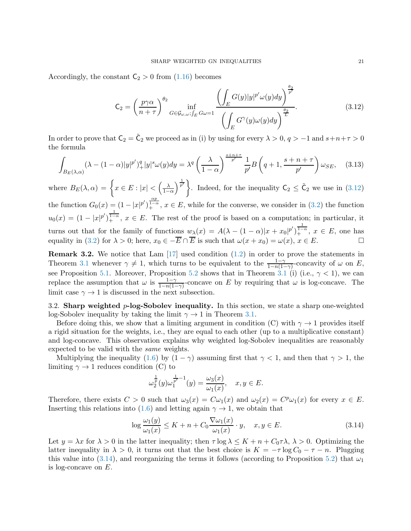Accordingly, the constant  $C_2 > 0$  from [\(1.16\)](#page-4-3) becomes

<span id="page-20-1"></span>
$$
\mathsf{C}_2 = \left(\frac{p\gamma\alpha}{n+\tau}\right)^{\theta_2} \inf_{G \in \mathcal{G}_{\omega,\omega};\int_E G\omega = 1} \frac{\left(\int_E G(y)|y|^{p'}\omega(y)dy\right)^{\frac{\theta_2}{p'}}}{\left(\int_E G^\gamma(y)\omega(y)dy\right)^{\frac{\theta_2}{L}}}.
$$
\n(3.12)

In order to prove that  $C_2 = \tilde{C}_2$  we proceed as in (i) by using for every  $\lambda > 0$ ,  $q > -1$  and  $s+n+\tau > 0$ the formula

<span id="page-20-3"></span>
$$
\int_{B_E(\lambda,\alpha)} (\lambda - (1-\alpha)|y|^{p'})_+^q |y|^s \omega(y) dy = \lambda^q \left(\frac{\lambda}{1-\alpha}\right)^{\frac{s+n+\tau}{p'}} \frac{1}{p'} B\left(q+1, \frac{s+n+\tau}{p'}\right) \omega_{SE}, \quad (3.13)
$$

where  $B_E(\lambda, \alpha) = \left\{ x \in E : |x| < \left( \frac{\lambda}{1 - \alpha} \right) \right\}$  $\frac{\lambda}{p'}\left\{\lambda\right\}$ . Indeed, for the inequality  $C_2 \leq \tilde{C}_2$  we use in  $(3.12)$ the function  $G_0(x) = (1 - |x|^{p'})^{\frac{\alpha p}{1 - \alpha}}$ ,  $x \in E$ , while for the converse, we consider in [\(3.2\)](#page-15-2) the function  $u_0(x) = (1 - |x|)^{p'}\right)^{\frac{1}{1-\alpha}}$ ,  $x \in E$ . The rest of the proof is based on a computation; in particular, it turns out that for the family of functions  $w_{\lambda}(x) = A(\lambda - (1 - \alpha)|x + x_0|^{p'})^{\frac{1}{1 - \alpha}}, x \in E$ , one has equality in [\(3.2\)](#page-15-2) for  $\lambda > 0$ ; here,  $x_0 \in -\overline{E} \cap \overline{E}$  is such that  $\omega(x + x_0) = \omega(x)$ ,  $x \in E$ .

**Remark 3.2.** We notice that Lam  $\left[17\right]$  used condition  $\left(1.2\right)$  in order to prove the statements in Theorem [3.1](#page-15-0) whenever  $\gamma \neq 1$ , which turns to be equivalent to the  $\frac{1-\gamma}{1-n(1-\gamma)}$ -concavity of  $\omega$  on E, see Proposition [5.1.](#page-29-0) Moreover, Proposition [5.2](#page-30-1) shows that in Theorem [3.1](#page-15-0) (i) (i.e.,  $\gamma$  < 1), we can replace the assumption that  $\omega$  is  $\frac{1-\gamma}{1-n(1-\gamma)}$ -concave on E by requiring that  $\omega$  is log-concave. The limit case  $\gamma \to 1$  is discussed in the next subsection.

<span id="page-20-0"></span>3.2. Sharp weighted p-log-Sobolev inequality. In this section, we state a sharp one-weighted log-Sobolev inequality by taking the limit  $\gamma \rightarrow 1$  in Theorem [3.1.](#page-15-0)

Before doing this, we show that a limiting argument in condition (C) with  $\gamma \to 1$  provides itself a rigid situation for the weights, i.e., they are equal to each other (up to a multiplicative constant) and log-concave. This observation explains why weighted log-Sobolev inequalities are reasonably expected to be valid with the same weights.

Multiplying the inequality [\(1.6\)](#page-2-2) by  $(1 - \gamma)$  assuming first that  $\gamma < 1$ , and then that  $\gamma > 1$ , the limiting  $\gamma \rightarrow 1$  reduces condition (C) to

$$
\omega_2^{\frac{1}{p}}(y)\omega_1^{\frac{1}{p'}-1}(y) = \frac{\omega_3(x)}{\omega_1(x)}, \quad x, y \in E.
$$

Therefore, there exists  $C > 0$  such that  $\omega_3(x) = C\omega_1(x)$  and  $\omega_2(x) = C^p \omega_1(x)$  for every  $x \in E$ . Inserting this relations into [\(1.6\)](#page-2-2) and letting again  $\gamma \to 1$ , we obtain that

<span id="page-20-2"></span>
$$
\log \frac{\omega_1(y)}{\omega_1(x)} \le K + n + C_0 \frac{\nabla \omega_1(x)}{\omega_1(x)} \cdot y, \quad x, y \in E. \tag{3.14}
$$

Let  $y = \lambda x$  for  $\lambda > 0$  in the latter inequality; then  $\tau \log \lambda \leq K + n + C_0 \tau \lambda$ ,  $\lambda > 0$ . Optimizing the latter inequality in  $\lambda > 0$ , it turns out that the best choice is  $K = -\tau \log C_0 - \tau - n$ . Plugging this value into [\(3.14\)](#page-20-2), and reorganizing the terms it follows (according to Proposition [5.2\)](#page-30-1) that  $\omega_1$ is log-concave on E.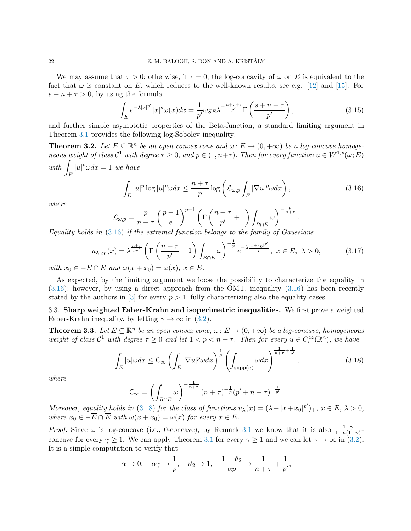We may assume that  $\tau > 0$ ; otherwise, if  $\tau = 0$ , the log-concavity of  $\omega$  on E is equivalent to the fact that  $\omega$  is constant on E, which reduces to the well-known results, see e.g. [\[12\]](#page-33-16) and [\[15\]](#page-33-17). For  $s + n + \tau > 0$ , by using the formula

$$
\int_{E} e^{-\lambda |x|^{p'}} |x|^{s} \omega(x) dx = \frac{1}{p'} \omega_{SE} \lambda^{-\frac{n+\tau+s}{p'}} \Gamma\left(\frac{s+n+\tau}{p'}\right),\tag{3.15}
$$

and further simple asymptotic properties of the Beta-function, a standard limiting argument in Theorem [3.1](#page-15-0) provides the following log-Sobolev inequality:

<span id="page-21-1"></span>**Theorem 3.2.** Let  $E \subseteq \mathbb{R}^n$  be an open convex cone and  $\omega: E \to (0, +\infty)$  be a log-concave homogeneous weight of class  $\mathcal{C}^1$  with degree  $\tau \geq 0$ , and  $p \in (1, n + \tau)$ . Then for every function  $u \in W^{1,p}(\omega;E)$ with  $\int$ E  $|u|^p \omega dx = 1$  we have

<span id="page-21-3"></span>
$$
\int_{E} |u|^p \log |u|^p \omega dx \le \frac{n+\tau}{p} \log \left( \mathcal{L}_{\omega,p} \int_{E} |\nabla u|^p \omega dx \right),\tag{3.16}
$$

where

$$
\mathcal{L}_{\omega,p} = \frac{p}{n+\tau} \left(\frac{p-1}{e}\right)^{p-1} \left(\Gamma\left(\frac{n+\tau}{p'}+1\right) \int_{B \cap E} \omega\right)^{-\frac{p}{n+\tau}}.
$$
\n16) if the extremal function belongs to the family of Gauss

Equality holds in [\(3.16\)](#page-21-3) if the extremal function belongs to the family of Gaussians

$$
u_{\lambda,x_0}(x) = \lambda^{\frac{n+\tau}{pp'}} \left( \Gamma\left(\frac{n+\tau}{p'}+1\right) \int_{B \cap E} \omega \right)^{-\frac{1}{p}} e^{-\lambda \frac{|x+x_0|^{p'}}{p}}, \ x \in E, \ \lambda > 0, \tag{3.17}
$$

with  $x_0 \in -\overline{E} \cap \overline{E}$  and  $\omega(x+x_0) = \omega(x), x \in E$ .

As expected, by the limiting argument we loose the possibility to characterize the equality in  $(3.16)$ ; however, by using a direct approach from the OMT, inequality  $(3.16)$  has been recently stated by the authors in [\[3\]](#page-33-14) for every  $p > 1$ , fully characterizing also the equality cases.

<span id="page-21-0"></span>3.3. Sharp weighted Faber-Krahn and isoperimetric inequalities. We first prove a weighted Faber-Krahn inequality, by letting  $\gamma \to \infty$  in [\(3.2\)](#page-15-2).

<span id="page-21-2"></span>**Theorem 3.3.** Let  $E \subseteq \mathbb{R}^n$  be an open convex cone,  $\omega: E \to (0, +\infty)$  be a log-concave, homogeneous weight of class  $C^1$  with degree  $\tau \geq 0$  and let  $1 < p < n + \tau$ . Then for every  $u \in C_c^{\infty}(\mathbb{R}^n)$ , we have

<span id="page-21-4"></span>
$$
\int_{E} |u|\omega dx \leq \mathsf{C}_{\infty} \left( \int_{E} |\nabla u|^p \omega dx \right)^{\frac{1}{p}} \left( \int_{\text{supp}(u)} \omega dx \right)^{\frac{1}{n+\tau} + \frac{1}{p'}},\tag{3.18}
$$

where

$$
\mathsf{C}_{\infty} = \left(\int_{B\cap E} \omega\right)^{-\frac{1}{n+\tau}} (n+\tau)^{-\frac{1}{p}} (p'+n+\tau)^{-\frac{1}{p'}}.
$$

Moreover, equality holds in [\(3.18\)](#page-21-4) for the class of functions  $u_{\lambda}(x) = (\lambda - |x + x_0|^{p'})_+, x \in E, \lambda > 0$ , where  $x_0 \in -\overline{E} \cap \overline{E}$  with  $\omega(x + x_0) = \omega(x)$  for every  $x \in E$ .

*Proof.* Since  $\omega$  is log-concave (i.e., 0-concave), by Remark [3.1](#page-15-3) we know that it is also  $\frac{1-\gamma}{1-n(1-\gamma)}$ concave for every  $\gamma \geq 1$ . We can apply Theorem [3.1](#page-15-0) for every  $\gamma \geq 1$  and we can let  $\gamma \to \infty$  in [\(3.2\)](#page-15-2). It is a simple computation to verify that

$$
\alpha \to 0, \quad \alpha \gamma \to \frac{1}{p}, \quad \vartheta_2 \to 1, \quad \frac{1-\vartheta_2}{\alpha p} \to \frac{1}{n+\tau} + \frac{1}{p'},
$$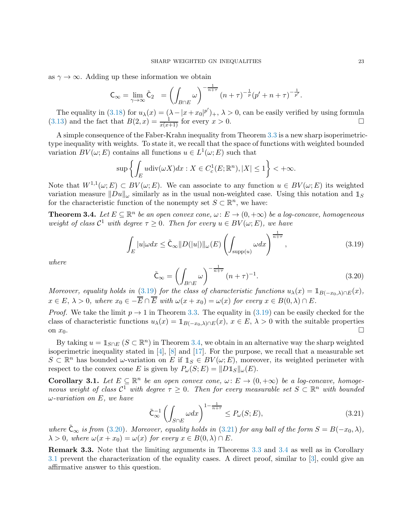as  $\gamma \to \infty$ . Adding up these information we obtain

$$
\mathsf{C}_{\infty} = \lim_{\gamma \to \infty} \tilde{\mathsf{C}}_2 = \left( \int_{B \cap E} \omega \right)^{-\frac{1}{n+\tau}} \left( n + \tau \right)^{-\frac{1}{p}} \left( p' + n + \tau \right)^{-\frac{1}{p'}}.
$$

The equality in [\(3.18\)](#page-21-4) for  $u_\lambda(x) = (\lambda - |x + x_0|^{p'})_+, \lambda > 0$ , can be easily verified by using formula [\(3.13\)](#page-20-3) and the fact that  $B(2, x) = \frac{1}{x(x+1)}$  for every  $x > 0$ .

A simple consequence of the Faber-Krahn inequality from Theorem [3.3](#page-21-2) is a new sharp isoperimetrictype inequality with weights. To state it, we recall that the space of functions with weighted bounded variation  $BV(\omega; E)$  contains all functions  $u \in L^1(\omega; E)$  such that

$$
\sup \left\{ \int_E u \operatorname{div}(\omega X) dx : X \in C_c^1(E; \mathbb{R}^n), |X| \le 1 \right\} < +\infty.
$$

Note that  $W^{1,1}(\omega; E) \subset BV(\omega; E)$ . We can associate to any function  $u \in BV(\omega; E)$  its weighted variation measure  $||Du||_{\omega}$  similarly as in the usual non-weighted case. Using this notation and  $\mathbb{1}_S$ for the characteristic function of the nonempty set  $S \subset \mathbb{R}^n$ , we have:

<span id="page-22-1"></span>**Theorem 3.4.** Let  $E \subseteq \mathbb{R}^n$  be an open convex cone,  $\omega: E \to (0, +\infty)$  be a log-concave, homogeneous weight of class  $\mathcal{C}^1$  with degree  $\tau \geq 0$ . Then for every  $u \in BV(\omega; E)$ , we have

<span id="page-22-0"></span>
$$
\int_{E} |u|\omega dx \leq \tilde{C}_{\infty} ||D(|u|)||_{\omega}(E) \left( \int_{\text{supp}(u)} \omega dx \right)^{\frac{1}{n+\tau}}, \qquad (3.19)
$$

where

<span id="page-22-2"></span>
$$
\tilde{\mathsf{C}}_{\infty} = \left( \int_{B \cap E} \omega \right)^{-\frac{1}{n+\tau}} (n+\tau)^{-1}.
$$
\n(3.20)

Moreover, equality holds in [\(3.19\)](#page-22-0) for the class of characteristic functions  $u_\lambda(x) = \mathbb{1}_{B(-x_0,\lambda)\cap E}(x)$ ,  $x \in E, \lambda > 0$ , where  $x_0 \in -\overline{E} \cap \overline{E}$  with  $\omega(x + x_0) = \omega(x)$  for every  $x \in B(0, \lambda) \cap E$ .

*Proof.* We take the limit  $p \to 1$  in Theorem [3.3.](#page-21-2) The equality in [\(3.19\)](#page-22-0) can be easily checked for the class of characteristic functions  $u_{\lambda}(x) = \mathbb{1}_{B(-x_0,\lambda)\cap E}(x)$ ,  $x \in E$ ,  $\lambda > 0$  with the suitable properties on  $x_0$ . on  $x_0$ .

By taking  $u = \mathbb{1}_{S \cap E}$   $(S \subset \mathbb{R}^n)$  in Theorem [3.4,](#page-22-1) we obtain in an alternative way the sharp weighted isoperimetric inequality stated in  $[4]$ ,  $[8]$  and  $[17]$ . For the purpose, we recall that a measurable set  $S \subset \mathbb{R}^n$  has bounded  $\omega$ -variation on E if  $\mathbb{1}_S \in BV(\omega; E)$ , moreover, its weighted perimeter with respect to the convex cone E is given by  $P_{\omega}(S;E) = ||D1_S||_{\omega}(E)$ .

<span id="page-22-4"></span>**Corollary 3.1.** Let  $E \subseteq \mathbb{R}^n$  be an open convex cone,  $\omega: E \to (0, +\infty)$  be a log-concave, homogeneous weight of class  $\mathcal{C}^1$  with degree  $\tau \geq 0$ . Then for every measurable set  $S \subset \mathbb{R}^n$  with bounded  $\omega$ -variation on E, we have

<span id="page-22-3"></span>
$$
\tilde{\mathsf{C}}_{\infty}^{-1} \left( \int_{S \cap E} \omega dx \right)^{1 - \frac{1}{n + \tau}} \le P_{\omega}(S; E),\tag{3.21}
$$

where  $\tilde{\mathsf{C}}_{\infty}$  is from [\(3.20\)](#page-22-2). Moreover, equality holds in [\(3.21\)](#page-22-3) for any ball of the form  $S = B(-x_0, \lambda)$ ,  $\lambda > 0$ , where  $\omega(x + x_0) = \omega(x)$  for every  $x \in B(0, \lambda) \cap E$ .

Remark 3.3. Note that the limiting arguments in Theorems [3.3](#page-21-2) and [3.4](#page-22-1) as well as in Corollary [3.1](#page-22-4) prevent the characterization of the equality cases. A direct proof, similar to [\[3\]](#page-33-14), could give an affirmative answer to this question.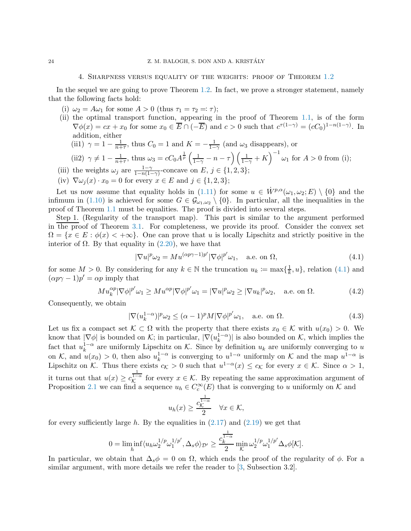# 4. Sharpness versus equality of the weights: proof of Theorem [1.2](#page-3-1)

<span id="page-23-0"></span>In the sequel we are going to prove Theorem [1.2.](#page-3-1) In fact, we prove a stronger statement, namely that the following facts hold:

- (i)  $\omega_2 = A \omega_1$  for some  $A > 0$  (thus  $\tau_1 = \tau_2 = \tau$ );
- (ii) the optimal transport function, appearing in the proof of Theorem [1.1,](#page-3-0) is of the form  $\nabla \phi(x) = cx + x_0$  for some  $x_0 \in \overline{E} \cap (-\overline{E})$  and  $c > 0$  such that  $c^{\tau(1-\gamma)} = (cC_0)^{1-n(1-\gamma)}$ . In addition, either
	- (ii1)  $\gamma = 1 \frac{1}{n+1}$  $\frac{1}{n+\tau}$ , thus  $C_0 = 1$  and  $K = -\frac{1}{1-\tau}$  $\frac{1}{1-\gamma}$  (and  $\omega_3$  disappears), or

$$
\text{(ii2) } \gamma \neq 1 - \frac{1}{n+\tau}, \text{ thus } \omega_3 = cC_0 A^{\frac{1}{p}} \left( \frac{1}{1-\gamma} - n - \tau \right) \left( \frac{1}{1-\gamma} + K \right)^{-1} \omega_1 \text{ for } A > 0 \text{ from (i)};
$$

- (iii) the weights  $\omega_j$  are  $\frac{1-\gamma}{1-n(1-\gamma)}$  $\frac{1-\gamma}{1-n(1-\gamma)}$ -concave on E,  $j \in \{1,2,3\};$
- (iv)  $\nabla \omega_j(x) \cdot x_0 = 0$  for every  $x \in E$  and  $j \in \{1, 2, 3\};$

Let us now assume that equality holds in [\(1.11\)](#page-3-2) for some  $u \in \dot{W}^{p,\alpha}(\omega_1, \omega_2; E) \setminus \{0\}$  and the infimum in [\(1.10\)](#page-3-3) is achieved for some  $G \in \mathcal{G}_{\omega_1,\omega_2} \setminus \{0\}$ . In particular, all the inequalities in the proof of Theorem [1.1](#page-3-0) must be equalities. The proof is divided into several steps.

Step 1. (Regularity of the transport map). This part is similar to the argument performed in the proof of Theorem [3.1.](#page-15-0) For completeness, we provide its proof. Consider the convex set  $\Omega = \{x \in E : \phi(x) < +\infty\}$ . One can prove that u is locally Lipschitz and strictly positive in the interior of  $\Omega$ . By that equality in [\(2.20\)](#page-10-2), we have that

<span id="page-23-2"></span>
$$
|\nabla u|^p \omega_2 = M u^{(\alpha p \gamma - 1)p'} |\nabla \phi|^{p'} \omega_1, \quad \text{a.e. on } \Omega,
$$
\n(4.1)

for some  $M > 0$ . By considering for any  $k \in \mathbb{N}$  the truncation  $u_k \coloneqq \max\{\frac{1}{k}\}$  $\frac{1}{k}, u\},$  relation  $(4.1)$  and  $(\alpha p \gamma - 1) p' = \alpha p$  imply that

<span id="page-23-1"></span>
$$
Mu_k^{\alpha p} |\nabla \phi|^{p'} \omega_1 \geq Mu^{\alpha p} |\nabla \phi|^{p'} \omega_1 = |\nabla u|^p \omega_2 \geq |\nabla u_k|^p \omega_2, \quad \text{a.e. on } \Omega. \tag{4.2}
$$

Consequently, we obtain

$$
|\nabla(u_k^{1-\alpha})|^p \omega_2 \le (\alpha - 1)^p M |\nabla \phi|^{p'} \omega_1, \quad \text{a.e. on } \Omega.
$$
 (4.3)

Let us fix a compact set  $\mathcal{K} \subset \Omega$  with the property that there exists  $x_0 \in \mathcal{K}$  with  $u(x_0) > 0$ . We know that  $|\nabla \phi|$  is bounded on K; in particular,  $|\nabla (u_k^{1-\alpha})|$  $\lfloor \frac{1-\alpha}{k} \rfloor$  is also bounded on K, which implies the fact that  $u_k^{1-\alpha}$  are uniformly Lipschitz on K. Since by definition  $u_k$  are uniformly converging to u k on K, and  $u(x_0) > 0$ , then also  $u_k^{1-\alpha}$  $\int_{k}^{1-\alpha}$  is converging to  $u^{1-\alpha}$  uniformly on K and the map  $u^{1-\alpha}$  is Lipschitz on K. Thus there exists  $c_{\mathcal{K}} > 0$  such that  $u^{1-\alpha}(x) \leq c_{\mathcal{K}}$  for every  $x \in \mathcal{K}$ . Since  $\alpha > 1$ , it turns out that  $u(x) \geq c_{\mathcal{K}}^{\frac{1}{1-\alpha}}$  for every  $x \in \mathcal{K}$ . By repeating the same approximation argument of Proposition [2.1](#page-6-0) we can find a sequence  $u_h \in C_c^{\infty}(E)$  that is converging to u uniformly on K and

$$
u_h(x) \ge \frac{c_K^{\frac{1}{1-\alpha}}}{2} \quad \forall x \in \mathcal{K},
$$

for every sufficiently large h. By the equalities in  $(2.17)$  and  $(2.19)$  we get that

$$
0 = \liminf_h \langle u_h \omega_2^{1/p} \omega_1^{1/p'}, \Delta_s \phi \rangle_{\mathcal{D}'} \ge \frac{c_k^{\frac{1}{1-\alpha}}}{2} \min_{\mathcal{K}} \omega_2^{1/p} \omega_1^{1/p'} \Delta_s \phi[\mathcal{K}].
$$

In particular, we obtain that  $\Delta_s \phi = 0$  on  $\Omega$ , which ends the proof of the regularity of  $\phi$ . For a similar argument, with more details we refer the reader to [\[3,](#page-33-14) Subsection 3.2].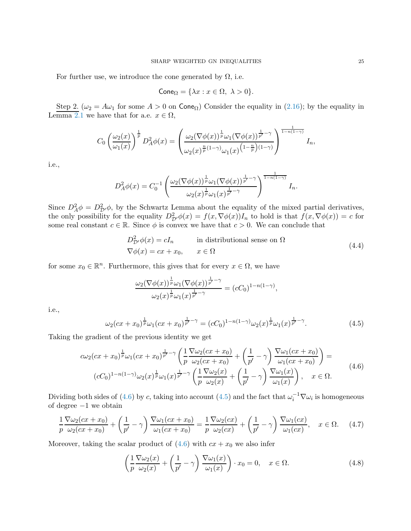For further use, we introduce the cone generated by  $\Omega$ , i.e.

$$
Cone_{\Omega} = \{\lambda x : x \in \Omega, \ \lambda > 0\}.
$$

Step 2. ( $\omega_2 = A\omega_1$  for some  $A > 0$  on Cone<sub>Ω</sub>) Consider the equality in [\(2.16\)](#page-9-1); by the equality in Lemma [2.1](#page-6-3) we have that for a.e.  $x \in \Omega$ ,

$$
C_0\left(\frac{\omega_2(x)}{\omega_1(x)}\right)^{\frac{1}{p}} D_A^2 \phi(x) = \left(\frac{\omega_2(\nabla \phi(x))^{\frac{1}{p}} \omega_1(\nabla \phi(x))^{\frac{1}{p'}-\gamma}}{\omega_2(x)^{\frac{n}{p}(1-\gamma)} \omega_1(x)^{\left(1-\frac{n}{p}\right)(1-\gamma)}}\right)^{\frac{1}{1-n(1-\gamma)}} I_n,
$$

i.e.,

$$
D_A^2 \phi(x) = C_0^{-1} \left( \frac{\omega_2(\nabla \phi(x))^{\frac{1}{p}} \omega_1(\nabla \phi(x))^{\frac{1}{p'} - \gamma}}{\omega_2(x)^{\frac{1}{p}} \omega_1(x)^{\frac{1}{p'} - \gamma}} \right)^{\frac{1}{1 - n(1 - \gamma)}} I_n.
$$

Since  $D_A^2 \phi = D_{\mathcal{D}}^2 \phi$ , by the Schwartz Lemma about the equality of the mixed partial derivatives, the only possibility for the equality  $D_{\mathcal{D}}^2 \phi(x) = f(x, \nabla \phi(x)) I_n$  to hold is that  $f(x, \nabla \phi(x)) = c$  for some real constant  $c \in \mathbb{R}$ . Since  $\phi$  is convex we have that  $c > 0$ . We can conclude that

$$
D_{\mathcal{D}'}^2 \phi(x) = cI_n
$$
 in distributional sense on  $\Omega$   
\n
$$
\nabla \phi(x) = cx + x_0, \qquad x \in \Omega
$$
\n(4.4)

for some  $x_0 \in \mathbb{R}^n$ . Furthermore, this gives that for every  $x \in \Omega$ , we have

$$
\frac{\omega_2(\nabla\phi(x))^{\frac{1}{p}}\omega_1(\nabla\phi(x))^{\frac{1}{p'}-\gamma}}{\omega_2(x)^{\frac{1}{p}}\omega_1(x)^{\frac{1}{p'}-\gamma}} = (cC_0)^{1-n(1-\gamma)},
$$

i.e.,

<span id="page-24-1"></span>
$$
\omega_2(cx+x_0)^{\frac{1}{p}}\omega_1(cx+x_0)^{\frac{1}{p'}-\gamma} = (cC_0)^{1-n(1-\gamma)}\omega_2(x)^{\frac{1}{p}}\omega_1(x)^{\frac{1}{p'}-\gamma}.
$$
\n(4.5)

Taking the gradient of the previous identity we get

$$
c\omega_2(cx + x_0)^{\frac{1}{p}}\omega_1(cx + x_0)^{\frac{1}{p'} - \gamma} \left(\frac{1}{p} \frac{\nabla\omega_2(cx + x_0)}{\omega_2(cx + x_0)} + \left(\frac{1}{p'} - \gamma\right) \frac{\nabla\omega_1(cx + x_0)}{\omega_1(cx + x_0)}\right) =
$$
  

$$
(cC_0)^{1 - n(1 - \gamma)}\omega_2(x)^{\frac{1}{p}}\omega_1(x)^{\frac{1}{p'} - \gamma} \left(\frac{1}{p} \frac{\nabla\omega_2(x)}{\omega_2(x)} + \left(\frac{1}{p'} - \gamma\right) \frac{\nabla\omega_1(x)}{\omega_1(x)}\right), \quad x \in \Omega.
$$
 (4.6)

<span id="page-24-0"></span>Dividing both sides of [\(4.6\)](#page-24-0) by c, taking into account [\(4.5\)](#page-24-1) and the fact that  $\omega_i^{-1} \nabla \omega_i$  is homogeneous of degree −1 we obtain

<span id="page-24-2"></span>
$$
\frac{1}{p}\frac{\nabla\omega_2(cx+x_0)}{\omega_2(cx+x_0)} + \left(\frac{1}{p'}-\gamma\right)\frac{\nabla\omega_1(cx+x_0)}{\omega_1(cx+x_0)} = \frac{1}{p}\frac{\nabla\omega_2(cx)}{\omega_2(cx)} + \left(\frac{1}{p'}-\gamma\right)\frac{\nabla\omega_1(cx)}{\omega_1(cx)}, \quad x \in \Omega. \tag{4.7}
$$

Moreover, taking the scalar product of  $(4.6)$  with  $cx + x_0$  we also infer

<span id="page-24-3"></span>
$$
\left(\frac{1}{p}\frac{\nabla\omega_2(x)}{\omega_2(x)} + \left(\frac{1}{p'} - \gamma\right)\frac{\nabla\omega_1(x)}{\omega_1(x)}\right) \cdot x_0 = 0, \quad x \in \Omega.
$$
\n(4.8)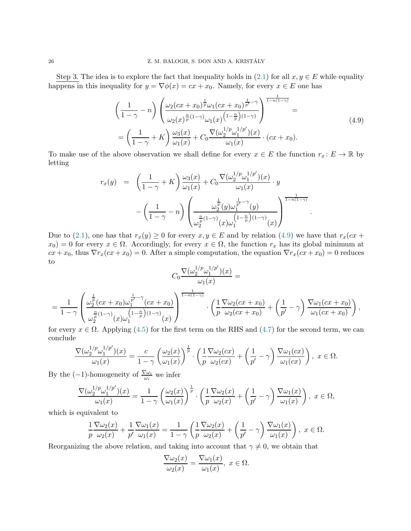Step 3. The idea is to explore the fact that inequality holds in  $(2.1)$  for all  $x, y \in E$  while equality happens in this inequality for  $y = \nabla \phi(x) = cx + x_0$ . Namely, for every  $x \in E$  one has

$$
\left(\frac{1}{1-\gamma}-n\right)\left(\frac{\omega_2(cx+x_0)^{\frac{1}{p}}\omega_1(cx+x_0)^{\frac{1}{p'}-\gamma}}{\omega_2(x)^{\frac{n}{p}(1-\gamma)}\omega_1(x)^{\left(1-\frac{n}{p}\right)(1-\gamma)}}\right)^{\frac{1}{1-n(1-\gamma)}} =
$$
\n
$$
=\left(\frac{1}{1-\gamma}+K\right)\frac{\omega_3(x)}{\omega_1(x)}+C_0\frac{\nabla(\omega_2^{1/p}\omega_1^{1/p'})(x)}{\omega_1(x)}\cdot(cx+x_0).
$$
\n(4.9)

.

<span id="page-25-0"></span>To make use of the above observation we shall define for every  $x \in E$  the function  $r_x \colon E \to \mathbb{R}$  by letting

$$
r_x(y) = \left(\frac{1}{1-\gamma} + K\right) \frac{\omega_3(x)}{\omega_1(x)} + C_0 \frac{\nabla(\omega_2^{1/p} \omega_1^{1/p'})(x)}{\omega_1(x)} \cdot y
$$

$$
-\left(\frac{1}{1-\gamma} - n\right) \left(\frac{\omega_2^{\frac{1}{p}}(y) \omega_1^{\frac{1}{p'}-\gamma}(y)}{\omega_2^{\frac{n}{p}(1-\gamma)}(x) \omega_1^{\left(1-\frac{n}{p}\right)(1-\gamma)}(x)}\right)^{\frac{1}{1-n(1-\gamma)}}
$$

Due to [\(2.1\)](#page-5-1), one has that  $r_x(y) \ge 0$  for every  $x, y \in E$  and by relation [\(4.9\)](#page-25-0) we have that  $r_x(cx +$  $x_0$ ) = 0 for every  $x \in \Omega$ . Accordingly, for every  $x \in \Omega$ , the function  $r_x$  has its global minimum at  $cx + x_0$ , thus  $\nabla r_x(cx + x_0) = 0$ . After a simple computation, the equation  $\nabla r_x(cx + x_0) = 0$  reduces to

$$
C_0 \frac{\nabla(\omega_2^{1/p} \omega_1^{1/p'}) (x)}{\omega_1(x)} =
$$
  
=  $\frac{1}{1-\gamma} \left( \frac{\omega_2^{\frac{1}{p}} (cx+x_0) \omega_1^{\frac{1}{p'}-\gamma} (cx+x_0)}{\omega_2^{\frac{n}{p}(1-\gamma)} (x) \omega_1^{(1-\frac{n}{p})(1-\gamma)} (x)} \right)^{\frac{1}{1-n(1-\gamma)}} \cdot \left( \frac{1}{p} \frac{\nabla \omega_2 (cx+x_0)}{\omega_2 (cx+x_0)} + \left( \frac{1}{p'} - \gamma \right) \frac{\nabla \omega_1 (cx+x_0)}{\omega_1 (cx+x_0)} \right),$ 

for every  $x \in \Omega$ . Applying [\(4.5\)](#page-24-1) for the first term on the RHS and [\(4.7\)](#page-24-2) for the second term, we can conclude

$$
\frac{\nabla(\omega_2^{1/p}\omega_1^{1/p'})(x)}{\omega_1(x)} = \frac{c}{1-\gamma} \left(\frac{\omega_2(x)}{\omega_1(x)}\right)^{\frac{1}{p}} \cdot \left(\frac{1}{p} \frac{\nabla \omega_2(cx)}{\omega_2(cx)} + \left(\frac{1}{p'} - \gamma\right) \frac{\nabla \omega_1(cx)}{\omega_1(cx)}\right), \ x \in \Omega.
$$

By the  $(-1)$ -homogeneity of  $\frac{\nabla \omega_i}{\omega_i}$  we infer

$$
\frac{\nabla(\omega_2^{1/p}\omega_1^{1/p'})(x)}{\omega_1(x)} = \frac{1}{1-\gamma} \left(\frac{\omega_2(x)}{\omega_1(x)}\right)^{\frac{1}{p}} \cdot \left(\frac{1}{p}\frac{\nabla\omega_2(x)}{\omega_2(x)} + \left(\frac{1}{p'} - \gamma\right)\frac{\nabla\omega_1(x)}{\omega_1(x)}\right), \ x \in \Omega,
$$

which is equivalent to

$$
\frac{1}{p}\frac{\nabla\omega_2(x)}{\omega_2(x)} + \frac{1}{p'}\frac{\nabla\omega_1(x)}{\omega_1(x)} = \frac{1}{1-\gamma}\left(\frac{1}{p}\frac{\nabla\omega_2(x)}{\omega_2(x)} + \left(\frac{1}{p'} - \gamma\right)\frac{\nabla\omega_1(x)}{\omega_1(x)}\right), \ x \in \Omega.
$$

Reorganizing the above relation, and taking into account that  $\gamma \neq 0$ , we obtain that

$$
\frac{\nabla\omega_2(x)}{\omega_2(x)} = \frac{\nabla\omega_1(x)}{\omega_1(x)}, \ x \in \Omega.
$$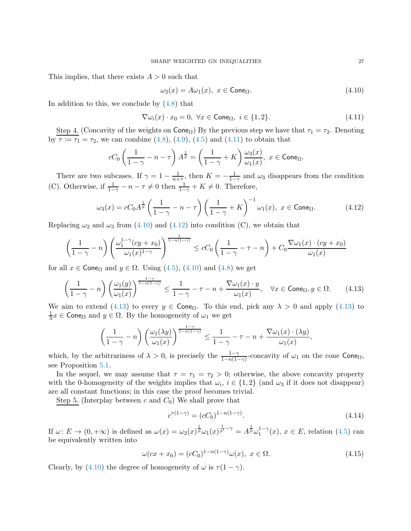This implies, that there exists  $A > 0$  such that

<span id="page-26-1"></span>
$$
\omega_2(x) = A\omega_1(x), \ x \in \text{Cone}_{\Omega}. \tag{4.10}
$$

In addition to this, we conclude by [\(4.8\)](#page-24-3) that

<span id="page-26-0"></span>
$$
\nabla \omega_i(x) \cdot x_0 = 0, \ \forall x \in \text{Cone}_{\Omega}, \ i \in \{1, 2\}. \tag{4.11}
$$

Step 4. (Concavity of the weights on  $\text{Cone}_{\Omega}$ ) By the previous step we have that  $\tau_1 = \tau_2$ . Denoting by  $\tau := \tau_1 = \tau_2$ , we can combine [\(4.8\)](#page-24-3), [\(4.9\)](#page-25-0), [\(4.5\)](#page-24-1) and [\(4.11\)](#page-26-0) to obtain that

$$
cC_0\left(\frac{1}{1-\gamma}-n-\tau\right)A^{\frac{1}{p}}=\left(\frac{1}{1-\gamma}+K\right)\frac{\omega_3(x)}{\omega_1(x)},\ x\in\mathsf{Cone}_{\Omega}.
$$

There are two subcases. If  $\gamma = 1 - \frac{1}{n+1}$  $\frac{1}{n+\tau}$ , then  $K = -\frac{1}{1-\tau}$  $\frac{1}{1-\gamma}$  and  $\omega_3$  disappears from the condition (C). Otherwise, if  $\frac{1}{1-\gamma} - n - \tau \neq 0$  then  $\frac{1}{1-\gamma} + K \neq 0$ . Therefore,

<span id="page-26-2"></span>
$$
\omega_3(x) = cC_0 A^{\frac{1}{p}} \left( \frac{1}{1-\gamma} - n - \tau \right) \left( \frac{1}{1-\gamma} + K \right)^{-1} \omega_1(x), \ x \in \text{Cone}_{\Omega}. \tag{4.12}
$$

Replacing  $\omega_2$  and  $\omega_3$  from [\(4.10\)](#page-26-1) and [\(4.12\)](#page-26-2) into condition (C), we obtain that

$$
\left(\frac{1}{1-\gamma}-n\right)\left(\frac{\omega_1^{1-\gamma}(cy+x_0)}{\omega_1(x)^{1-\gamma}}\right)^{\frac{1}{1-n(1-\gamma)}} \leq cC_0\left(\frac{1}{1-\gamma}-\tau-n\right)+C_0\frac{\nabla\omega_1(x)\cdot(cy+x_0)}{\omega_1(x)}
$$

for all  $x \in \text{Cone}_{\Omega}$  and  $y \in \Omega$ . Using [\(4.5\)](#page-24-1), [\(4.10\)](#page-26-1) and [\(4.8\)](#page-24-3) we get

<span id="page-26-3"></span>
$$
\left(\frac{1}{1-\gamma}-n\right)\left(\frac{\omega_1(y)}{\omega_1(x)}\right)^{\frac{1-\gamma}{1-n(1-\gamma)}} \le \frac{1}{1-\gamma}-\tau-n+\frac{\nabla\omega_1(x)\cdot y}{\omega_1(x)}, \quad \forall x \in \text{Cone}_{\Omega}, y \in \Omega. \tag{4.13}
$$

We aim to extend [\(4.13\)](#page-26-3) to every  $y \in \text{Cone}_{\Omega}$ . To this end, pick any  $\lambda > 0$  and apply (4.13) to 1  $\frac{1}{\lambda}x \in \mathsf{Cone}_{\Omega}$  and  $y \in \Omega$ . By the homogeneity of  $\omega_1$  we get

$$
\left(\frac{1}{1-\gamma}-n\right)\left(\frac{\omega_1(\lambda y)}{\omega_1(x)}\right)^{\frac{1-\gamma}{1-n(1-\gamma)}} \leq \frac{1}{1-\gamma}-\tau-n+\frac{\nabla \omega_1(x)\cdot(\lambda y)}{\omega_1(x)},
$$

which, by the arbitrariness of  $\lambda > 0$ , is precisely the  $\frac{1-\gamma}{1-n(1-\gamma)}$ -concavity of  $\omega_1$  on the cone Cone<sub> $\Omega$ </sub>, see Proposition [5.1.](#page-29-0)

In the sequel, we may assume that  $\tau = \tau_1 = \tau_2 > 0$ ; otherwise, the above concavity property with the 0-homogeneity of the weights implies that  $\omega_i$ ,  $i \in \{1,2\}$  (and  $\omega_3$  if it does not disappear) are all constant functions; in this case the proof becomes trivial.

Step 5. (Interplay between c and  $C_0$ ) We shall prove that

<span id="page-26-5"></span>
$$
c^{\tau(1-\gamma)} = (cC_0)^{1-n(1-\gamma)}.
$$
\n(4.14)

If  $\omega: E \to (0, +\infty)$  is defined as  $\omega(x) = \omega_2(x)^{\frac{1}{p}} \omega_1(x)^{\frac{1}{p'}-\gamma} = A^{\frac{1}{p}} \omega_1^{1-\gamma}$  $i_1^{\text{1}-\gamma}(x), x \in E$ , relation  $(4.5)$  can be equivalently written into

<span id="page-26-4"></span>
$$
\omega(cx + x_0) = (cC_0)^{1 - n(1 - \gamma)} \omega(x), \ x \in \Omega.
$$
\n(4.15)

Clearly, by [\(4.10\)](#page-26-1) the degree of homogeneity of  $\omega$  is  $\tau(1-\gamma)$ .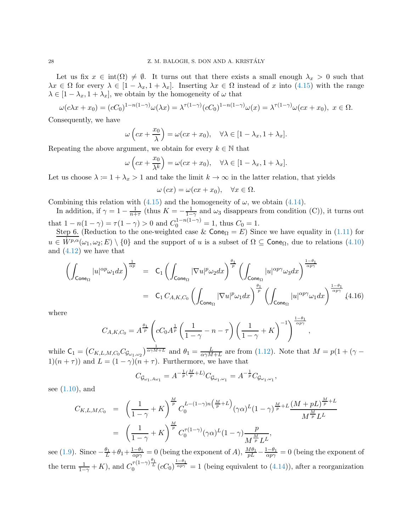Let us fix  $x \in \text{int}(\Omega) \neq \emptyset$ . It turns out that there exists a small enough  $\lambda_x > 0$  such that  $\lambda x \in \Omega$  for every  $\lambda \in [1 - \lambda_x, 1 + \lambda_x]$ . Inserting  $\lambda x \in \Omega$  instead of x into [\(4.15\)](#page-26-4) with the range  $\lambda \in [1 - \lambda_x, 1 + \lambda_x]$ , we obtain by the homogeneity of  $\omega$  that

$$
\omega(c\lambda x + x_0) = (cC_0)^{1-n(1-\gamma)}\omega(\lambda x) = \lambda^{\tau(1-\gamma)}(cC_0)^{1-n(1-\gamma)}\omega(x) = \lambda^{\tau(1-\gamma)}\omega(cx+x_0), \ x \in \Omega.
$$

Consequently, we have

$$
\omega\left(cx+\frac{x_0}{\lambda}\right)=\omega(cx+x_0), \quad \forall \lambda\in[1-\lambda_x, 1+\lambda_x].
$$

Repeating the above argument, we obtain for every  $k \in \mathbb{N}$  that

$$
\omega\left(cx + \frac{x_0}{\lambda^k}\right) = \omega(cx + x_0), \quad \forall \lambda \in [1 - \lambda_x, 1 + \lambda_x].
$$

Let us choose  $\lambda := 1 + \lambda_x > 1$  and take the limit  $k \to \infty$  in the latter relation, that yields

$$
\omega (cx) = \omega (cx + x_0), \quad \forall x \in \Omega.
$$

Combining this relation with [\(4.15\)](#page-26-4) and the homogeneity of  $\omega$ , we obtain [\(4.14\)](#page-26-5).

In addition, if  $\gamma = 1 - \frac{1}{n+1}$  $\frac{1}{n+\tau}$  (thus  $K = -\frac{1}{1-\tau}$  $\frac{1}{1-\gamma}$  and  $\omega_3$  disappears from condition (C)), it turns out that  $1 - n(1 - \gamma) = \tau(1 - \gamma) > 0$  and  $C_0^{1 - n(1 - \gamma)} = 1$ , thus  $C_0 = 1$ .

Step 6. (Reduction to the one-weighted case &  $\text{Cone}_{\Omega} = E$ ) Since we have equality in [\(1.11\)](#page-3-2) for  $u \in \overline{W^{p,\alpha}}(\omega_1,\omega_2;E) \setminus \{0\}$  and the support of u is a subset of  $\Omega \subseteq \mathsf{Cone}_{\Omega}$ , due to relations  $(4.10)$ and [\(4.12\)](#page-26-2) we have that

$$
\left(\int_{\text{Cone}_{\Omega}}|u|^{\alpha p}\omega_{1}dx\right)^{\frac{1}{\alpha p}} = C_{1}\left(\int_{\text{Cone}_{\Omega}}|\nabla u|^{p}\omega_{2}dx\right)^{\frac{\theta_{1}}{p}}\left(\int_{\text{Cone}_{\Omega}}|u|^{\alpha p\gamma}\omega_{3}dx\right)^{\frac{1-\theta_{1}}{\alpha p\gamma}}
$$
\n
$$
= C_{1} C_{A,K,C_{0}}\left(\int_{\text{Cone}_{\Omega}}|\nabla u|^{p}\omega_{1}dx\right)^{\frac{\theta_{1}}{p}}\left(\int_{\text{Cone}_{\Omega}}|u|^{\alpha p\gamma}\omega_{1}dx\right)^{\frac{1-\theta_{1}}{\alpha p\gamma}}(4.16)
$$

,

where

$$
C_{A,K,C_0} = A^{\frac{\theta_1}{p}} \left( c C_0 A^{\frac{1}{p}} \left( \frac{1}{1-\gamma} - n - \tau \right) \left( \frac{1}{1-\gamma} + K \right)^{-1} \right)^{\frac{1-\theta_1}{\alpha p \gamma}}
$$

while  $C_1 = (C_{K,L,M,C_0} C_{\mathcal{G}_{\omega_1,\omega_2}})^{\frac{1}{\alpha \gamma M + L}}$  and  $\theta_1 = \frac{L}{\alpha \gamma M}$  $\frac{L}{\alpha\gamma M+L}$  are from [\(1.12\)](#page-3-4). Note that  $M = p(1 + (\gamma 1(n+\tau)$  and  $L = (1-\gamma)(n+\tau)$ . Furthermore, we have that

$$
C_{\mathcal{G}_{\omega_1, A\omega_1}} = A^{-\frac{1}{p}(\frac{M}{p}+L)} C_{\mathcal{G}_{\omega_1, \omega_1}} = A^{-\frac{1}{p}} C_{\mathcal{G}_{\omega_1, \omega_1}},
$$

see [\(1.10\)](#page-3-3), and

$$
C_{K,L,M,C_0} = \left(\frac{1}{1-\gamma} + K\right)^{\frac{M}{p}} C_0^{L-(1-\gamma)n\left(\frac{M}{p}+L\right)} (\gamma \alpha)^L (1-\gamma)^{\frac{M}{p}+L} \frac{(M+pL)^{\frac{M}{p}+L}}{M^{\frac{M}{p}} L^L}
$$
  
=  $\left(\frac{1}{1-\gamma} + K\right)^{\frac{M}{p}} C_0^{\tau(1-\gamma)} (\gamma \alpha)^L (1-\gamma) \frac{p}{M^{\frac{M}{p}} L^L},$ 

see [\(1.9\)](#page-3-5). Since  $-\frac{\theta_1}{L}+\theta_1+\frac{1-\theta_1}{\alpha p\gamma}=0$  (being the exponent of A),  $\frac{M\theta_1}{pL}-\frac{1-\theta_1}{\alpha p\gamma}=0$  (being the exponent of the term  $\frac{1}{1-\gamma}+K$ ), and  $C_0^{\tau(1-\gamma)\frac{\theta_1}{L}}(cC_0)^{\frac{1-\theta_1}{\alpha p\gamma}}=1$  (being equivalent to [\(4.14\)](#page-26-5)), after a reorganization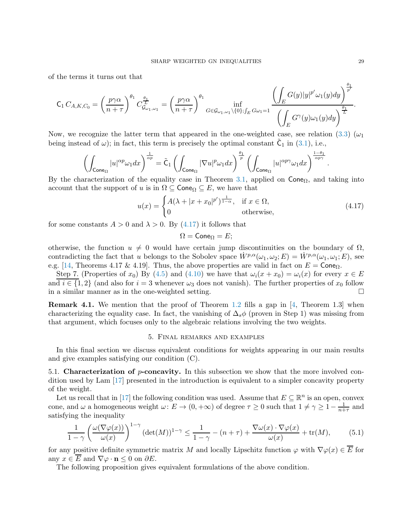of the terms it turns out that

$$
\mathsf{C}_1 C_{A,K,C_0} = \left(\frac{p\gamma\alpha}{n+\tau}\right)^{\theta_1} C_{\mathcal{G}_{\omega_1,\omega_1}}^{\frac{\theta_1}{L}} = \left(\frac{p\gamma\alpha}{n+\tau}\right)^{\theta_1} \inf_{G \in \mathcal{G}_{\omega_1,\omega_1} \backslash \{0\}; \int_E G\omega_1 = 1} \frac{\left(\int_E G(y)|y|^{p'}\omega_1(y)dy\right)^{\frac{\theta_1}{p'}}}{\left(\int_E G^{\gamma}(y)\omega_1(y)dy\right)^{\frac{\theta_1}{L}}}.
$$

Now, we recognize the latter term that appeared in the one-weighted case, see relation [\(3.3\)](#page-16-1) ( $\omega_1$ ) being instead of  $\omega$ ); in fact, this term is precisely the optimal constant  $\tilde{\mathsf{C}}_1$  in [\(3.1\)](#page-15-1), i.e.,

$$
\left(\int_{\text{Cone}_\Omega}|u|^{\alpha p}\omega_1dx\right)^{\frac{1}{\alpha p}} = \tilde{C}_1\left(\int_{\text{Cone}_\Omega}|\nabla u|^p\omega_1dx\right)^{\frac{\theta_1}{p}}\left(\int_{\text{Cone}_\Omega}|u|^{\alpha p\gamma}\omega_1dx\right)^{\frac{1-\theta_1}{\alpha p\gamma}}
$$

By the characterization of the equality case in Theorem [3.1,](#page-15-0) applied on  $\mathsf{Cone}_\Omega$ , and taking into account that the support of u is in  $\Omega \subseteq \mathsf{Cone}_{\Omega} \subseteq E$ , we have that

<span id="page-28-3"></span>
$$
u(x) = \begin{cases} A(\lambda + |x + x_0|^{p'})^{\frac{1}{1-\alpha}}, & \text{if } x \in \Omega, \\ 0 & \text{otherwise}, \end{cases}
$$
 (4.17)

for some constants  $A > 0$  and  $\lambda > 0$ . By [\(4.17\)](#page-28-3) it follows that

$$
\Omega = \mathsf{Cone}_{\Omega} = E;
$$

otherwise, the function  $u \neq 0$  would have certain jump discontinuities on the boundary of  $\Omega$ , contradicting the fact that u belongs to the Sobolev space  $\dot{W}^{p,\alpha}(\omega_1,\omega_2;E) = \dot{W}^{p,\alpha}(\omega_1,\omega_1;E)$ , see e.g. [\[14,](#page-33-15) Theorems 4.17 & 4.19]. Thus, the above properties are valid in fact on  $E = \text{Cone}_{\Omega}$ .

Step 7. (Properties of  $x_0$ ) By [\(4.5\)](#page-24-1) and [\(4.10\)](#page-26-1) we have that  $\omega_i(x+x_0) = \omega_i(x)$  for every  $x \in E$ and  $i \in \{1,2\}$  (and also for  $i=3$  whenever  $\omega_3$  does not vanish). The further properties of  $x_0$  follow in a similar manner as in the one-weighted setting.

<span id="page-28-2"></span>Remark 4.1. We mention that the proof of Theorem [1.2](#page-3-1) fills a gap in [\[4,](#page-33-13) Theorem 1.3] when characterizing the equality case. In fact, the vanishing of  $\Delta_s \phi$  (proven in Step 1) was missing from that argument, which focuses only to the algebraic relations involving the two weights.

## 5. Final remarks and examples

<span id="page-28-0"></span>In this final section we discuss equivalent conditions for weights appearing in our main results and give examples satisfying our condition (C).

<span id="page-28-1"></span>5.1. Characterization of  $p$ -concavity. In this subsection we show that the more involved condition used by Lam [\[17\]](#page-33-6) presented in the introduction is equivalent to a simpler concavity property of the weight.

Let us recall that in [\[17\]](#page-33-6) the following condition was used. Assume that  $E \subseteq \mathbb{R}^n$  is an open, convex cone, and  $\omega$  a homogeneous weight  $\omega: E \to (0, +\infty)$  of degree  $\tau \geq 0$  such that  $1 \neq \gamma \geq 1-\frac{1}{n+1}$  $\frac{1}{n+\tau}$  and satisfying the inequality

<span id="page-28-4"></span>
$$
\frac{1}{1-\gamma} \left( \frac{\omega(\nabla \varphi(x))}{\omega(x)} \right)^{1-\gamma} \left( \det(M) \right)^{1-\gamma} \le \frac{1}{1-\gamma} - (n+\tau) + \frac{\nabla \omega(x) \cdot \nabla \varphi(x)}{\omega(x)} + \text{tr}(M), \tag{5.1}
$$

for any positive definite symmetric matrix M and locally Lipschitz function  $\varphi$  with  $\nabla \varphi(x) \in \overline{E}$  for any  $x \in \overline{E}$  and  $\nabla \varphi \cdot \mathbf{n} \leq 0$  on  $\partial E$ .

The following proposition gives equivalent formulations of the above condition.

.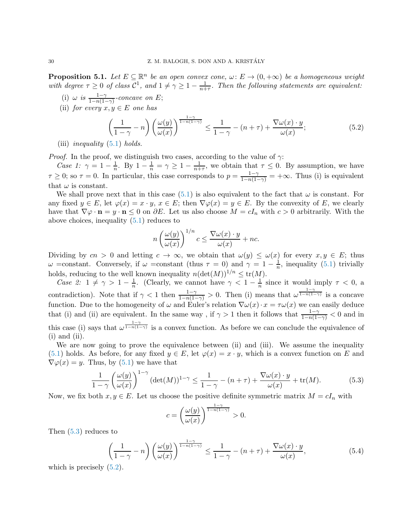<span id="page-29-0"></span>**Proposition 5.1.** Let  $E \subseteq \mathbb{R}^n$  be an open convex cone,  $\omega: E \to (0, +\infty)$  be a homogeneous weight with degree  $\tau \geq 0$  of class  $C^1$ , and  $1 \neq \gamma \geq 1 - \frac{1}{n+\tau}$ . Then the following statements are equivalent:

- (i)  $\omega$  is  $\frac{1-\gamma}{1-n(1-\gamma)}$ -concave on E;
- (ii) for every  $x, y \in E$  one has

<span id="page-29-3"></span>
$$
\left(\frac{1}{1-\gamma}-n\right)\left(\frac{\omega(y)}{\omega(x)}\right)^{\frac{1-\gamma}{1-n(1-\gamma)}} \le \frac{1}{1-\gamma} - (n+\tau) + \frac{\nabla\omega(x)\cdot y}{\omega(x)};
$$
\n(5.2)

(iii) *inequality*  $(5.1)$  *holds.* 

*Proof.* In the proof, we distinguish two cases, according to the value of  $\gamma$ :

Case 1:  $\gamma = 1 - \frac{1}{n}$ . By  $1 - \frac{1}{n} = \gamma \ge 1 - \frac{1}{n+\tau}$ , we obtain that  $\tau \le 0$ . By assumption, we have  $\tau \geq 0$ ; so  $\tau = 0$ . In particular, this case corresponds to  $p = \frac{1-\gamma}{1-n(1-\gamma)} = +\infty$ . Thus (i) is equivalent that  $\omega$  is constant.

We shall prove next that in this case [\(5.1\)](#page-28-4) is also equivalent to the fact that  $\omega$  is constant. For any fixed  $y \in E$ , let  $\varphi(x) = x \cdot y$ ,  $x \in E$ ; then  $\nabla \varphi(x) = y \in E$ . By the convexity of E, we clearly have that  $\nabla \varphi \cdot \mathbf{n} = y \cdot \mathbf{n} \leq 0$  on  $\partial E$ . Let us also choose  $M = cI_n$  with  $c > 0$  arbitrarily. With the above choices, inequality [\(5.1\)](#page-28-4) reduces to

$$
n\left(\frac{\omega(y)}{\omega(x)}\right)^{1/n}c \le \frac{\nabla\omega(x)\cdot y}{\omega(x)} + nc.
$$

Dividing by  $cn > 0$  and letting  $c \to \infty$ , we obtain that  $\omega(y) \leq \omega(x)$  for every  $x, y \in E$ ; thus  $ω$  =constant. Conversely, if  $ω$  =constant (thus  $τ = 0$ ) and  $γ = 1 - \frac{1}{n}$ , inequality [\(5.1\)](#page-28-4) trivially  $\omega$  =constant. Conversely, if  $\omega$  =constant (thus  $n = 0$ ) and  $n = 1$  m holds, reducing to the well known inequality  $n(\det(M))^{1/n} \leq \text{tr}(M)$ .

Case 2:  $1 \neq \gamma > 1 - \frac{1}{n}$ . (Clearly, we cannot have  $\gamma < 1 - \frac{1}{n}$  since it would imply  $\tau < 0$ , a contradiction). Note that if  $\gamma < 1$  then  $\frac{1-\gamma}{1-n(1-\gamma)} > 0$ . Then (i) means that  $\omega^{\frac{1-\gamma}{1-n(1-\gamma)}}$  is a concave function. Due to the homogeneity of  $\omega$  and Euler's relation  $\nabla \omega(x) \cdot x = \tau \omega(x)$  we can easily deduce that (i) and (ii) are equivalent. In the same way, if  $\gamma > 1$  then it follows that  $\frac{1-\gamma}{1-n(1-\gamma)} < 0$  and in this case (i) says that  $\omega^{\frac{1-\gamma}{1-n(1-\gamma)}}$  is a convex function. As before we can conclude the equivalence of  $(i)$  and  $(ii)$ .

We are now going to prove the equivalence between (ii) and (iii). We assume the inequality [\(5.1\)](#page-28-4) holds. As before, for any fixed  $y \in E$ , let  $\varphi(x) = x \cdot y$ , which is a convex function on E and  $\nabla \varphi(x) = y$ . Thus, by [\(5.1\)](#page-28-4) we have that

<span id="page-29-2"></span>
$$
\frac{1}{1-\gamma} \left(\frac{\omega(y)}{\omega(x)}\right)^{1-\gamma} \left(\det(M)\right)^{1-\gamma} \le \frac{1}{1-\gamma} - (n+\tau) + \frac{\nabla \omega(x) \cdot y}{\omega(x)} + \text{tr}(M). \tag{5.3}
$$

Now, we fix both  $x, y \in E$ . Let us choose the positive definite symmetric matrix  $M = cI_n$  with

$$
c = \left(\frac{\omega(y)}{\omega(x)}\right)^{\frac{1-\gamma}{1-n(1-\gamma)}} > 0.
$$

Then [\(5.3\)](#page-29-2) reduces to

<span id="page-29-1"></span>
$$
\left(\frac{1}{1-\gamma}-n\right)\left(\frac{\omega(y)}{\omega(x)}\right)^{\frac{1-\gamma}{1-n(1-\gamma)}} \le \frac{1}{1-\gamma} - (n+\tau) + \frac{\nabla\omega(x)\cdot y}{\omega(x)},\tag{5.4}
$$

which is precisely  $(5.2)$ .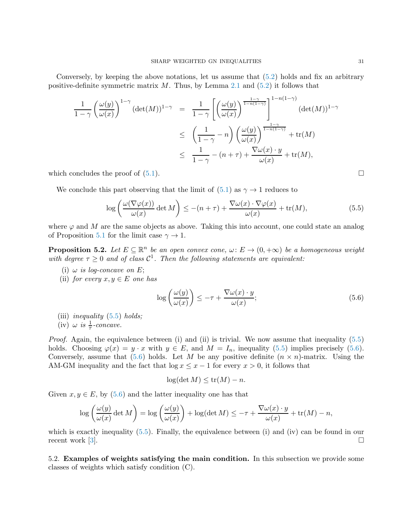Conversely, by keeping the above notations, let us assume that [\(5.2\)](#page-29-3) holds and fix an arbitrary positive-definite symmetric matrix  $M$ . Thus, by Lemma [2.1](#page-6-3) and  $(5.2)$  it follows that

$$
\frac{1}{1-\gamma} \left(\frac{\omega(y)}{\omega(x)}\right)^{1-\gamma} (\det(M))^{1-\gamma} = \frac{1}{1-\gamma} \left[ \left(\frac{\omega(y)}{\omega(x)}\right)^{\frac{1-\gamma}{1-n(1-\gamma)}} \right]^{1-n(1-\gamma)} (\det(M))^{1-\gamma}
$$
  

$$
\leq \left(\frac{1}{1-\gamma}-n\right) \left(\frac{\omega(y)}{\omega(x)}\right)^{\frac{1-\gamma}{1-n(1-\gamma)}} + \text{tr}(M)
$$
  

$$
\leq \frac{1}{1-\gamma} - (n+\tau) + \frac{\nabla \omega(x) \cdot y}{\omega(x)} + \text{tr}(M),
$$

which concludes the proof of  $(5.1)$ .

We conclude this part observing that the limit of  $(5.1)$  as  $\gamma \rightarrow 1$  reduces to

<span id="page-30-2"></span>
$$
\log\left(\frac{\omega(\nabla\varphi(x))}{\omega(x)}\det M\right) \le -(n+\tau) + \frac{\nabla\omega(x)\cdot\nabla\varphi(x)}{\omega(x)} + \text{tr}(M),\tag{5.5}
$$

where  $\varphi$  and M are the same objects as above. Taking this into account, one could state an analog of Proposition [5.1](#page-29-0) for the limit case  $\gamma \to 1$ .

<span id="page-30-1"></span>**Proposition 5.2.** Let  $E \subseteq \mathbb{R}^n$  be an open convex cone,  $\omega: E \to (0, +\infty)$  be a homogeneous weight with degree  $\tau \geq 0$  and of class  $\mathcal{C}^1$ . Then the following statements are equivalent:

- (i)  $\omega$  is log-concave on E;
- (ii) for every  $x, y \in E$  one has

<span id="page-30-3"></span>
$$
\log\left(\frac{\omega(y)}{\omega(x)}\right) \le -\tau + \frac{\nabla\omega(x)\cdot y}{\omega(x)};
$$
\n(5.6)

(iii) *inequality*  $(5.5)$  *holds*;

```
(iv) \omega is \frac{1}{\tau}-concave.
```
Proof. Again, the equivalence between (i) and (ii) is trivial. We now assume that inequality [\(5.5\)](#page-30-2) holds. Choosing  $\varphi(x) = y \cdot x$  with  $y \in E$ , and  $M = I_n$ , inequality [\(5.5\)](#page-30-2) implies precisely [\(5.6\)](#page-30-3). Conversely, assume that  $(5.6)$  holds. Let M be any positive definite  $(n \times n)$ -matrix. Using the AM-GM inequality and the fact that  $\log x \leq x - 1$  for every  $x > 0$ , it follows that

$$
\log(\det M) \le \text{tr}(M) - n.
$$

Given  $x, y \in E$ , by [\(5.6\)](#page-30-3) and the latter inequality one has that

$$
\log\left(\frac{\omega(y)}{\omega(x)}\det M\right) = \log\left(\frac{\omega(y)}{\omega(x)}\right) + \log(\det M) \le -\tau + \frac{\nabla\omega(x)\cdot y}{\omega(x)} + \text{tr}(M) - n,
$$

which is exactly inequality  $(5.5)$ . Finally, the equivalence between (i) and (iv) can be found in our recent work  $[3]$ .

<span id="page-30-0"></span>5.2. Examples of weights satisfying the main condition. In this subsection we provide some classes of weights which satisfy condition (C).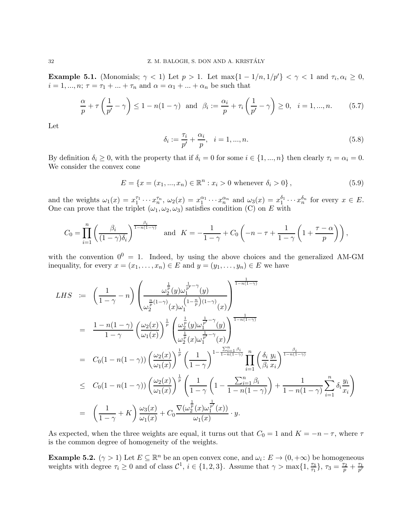**Example 5.1.** (Monomials;  $\gamma < 1$ ) Let  $p > 1$ . Let  $\max\{1 - 1/n, 1/p'\} < \gamma < 1$  and  $\tau_i, \alpha_i \geq 0$ ,  $i = 1, ..., n; \tau = \tau_1 + ... + \tau_n$  and  $\alpha = \alpha_1 + ... + \alpha_n$  be such that

$$
\frac{\alpha}{p} + \tau \left( \frac{1}{p'} - \gamma \right) \le 1 - n(1 - \gamma) \quad \text{and} \quad \beta_i := \frac{\alpha_i}{p} + \tau_i \left( \frac{1}{p'} - \gamma \right) \ge 0, \quad i = 1, ..., n. \tag{5.7}
$$

Let

$$
\delta_i := \frac{\tau_i}{p'} + \frac{\alpha_i}{p}, \quad i = 1, ..., n. \tag{5.8}
$$

By definition  $\delta_i \geq 0$ , with the property that if  $\delta_i = 0$  for some  $i \in \{1, ..., n\}$  then clearly  $\tau_i = \alpha_i = 0$ . We consider the convex cone

$$
E = \{x = (x_1, ..., x_n) \in \mathbb{R}^n : x_i > 0 \text{ whenever } \delta_i > 0\},\tag{5.9}
$$

and the weights  $\omega_1(x) = x_1^{\tau_1} \cdots x_n^{\tau_n}$ ,  $\omega_2(x) = x_1^{\alpha_1} \cdots x_n^{\alpha_n}$  and  $\omega_3(x) = x_1^{\delta_1} \cdots x_n^{\delta_n}$  for every  $x \in E$ . One can prove that the triplet  $(\omega_1, \omega_2, \omega_3)$  satisfies condition (C) on E with

$$
C_0 = \prod_{i=1}^n \left( \frac{\beta_i}{(1-\gamma)\delta_i} \right)^{\frac{\beta_i}{1-n(1-\gamma)}} \quad \text{and} \quad K = -\frac{1}{1-\gamma} + C_0 \left( -n - \tau + \frac{1}{1-\gamma} \left( 1 + \frac{\tau - \alpha}{p} \right) \right),
$$

with the convention  $0^0 = 1$ . Indeed, by using the above choices and the generalized AM-GM inequality, for every  $x = (x_1, \ldots, x_n) \in E$  and  $y = (y_1, \ldots, y_n) \in E$  we have

$$
LHS := \left(\frac{1}{1-\gamma} - n\right) \left(\frac{\omega_2^{\frac{1}{p}}(y)\omega_1^{\frac{1}{p'}-\gamma}(y)}{\omega_2^{\frac{n}{p}(1-\gamma)}(x)\omega_1^{\left(1-\frac{n}{p}\right)(1-\gamma)}(x)}\right)^{\frac{1}{1-n(1-\gamma)}}
$$
  
\n
$$
= \frac{1-n(1-\gamma)}{1-\gamma} \left(\frac{\omega_2(x)}{\omega_1(x)}\right)^{\frac{1}{p}} \left(\frac{\omega_2^{\frac{1}{p}}(y)\omega_1^{\frac{1}{p'}-\gamma}(y)}{\omega_2^{\frac{1}{p}}(x)\omega_1^{\frac{1}{p'}-\gamma}(x)}\right)^{\frac{1}{1-n(1-\gamma)}}
$$
  
\n
$$
= C_0(1-n(1-\gamma)) \left(\frac{\omega_2(x)}{\omega_1(x)}\right)^{\frac{1}{p}} \left(\frac{1}{1-\gamma}\right)^{1-\frac{\sum_{i=1}^{n}\beta_i}{1-n(1-\gamma)}} \prod_{i=1}^{n} \left(\frac{\delta_i}{\beta_i} \frac{y_i}{x_i}\right)^{\frac{\beta_i}{1-n(1-\gamma)}}
$$
  
\n
$$
\le C_0(1-n(1-\gamma)) \left(\frac{\omega_2(x)}{\omega_1(x)}\right)^{\frac{1}{p}} \left(\frac{1}{1-\gamma} \left(1-\frac{\sum_{i=1}^{n}\beta_i}{1-n(1-\gamma)}\right) + \frac{1}{1-n(1-\gamma)} \sum_{i=1}^{n} \delta_i \frac{y_i}{x_i}\right)
$$
  
\n
$$
= \left(\frac{1}{1-\gamma} + K\right) \frac{\omega_3(x)}{\omega_1(x)} + C_0 \frac{\nabla(\omega_2^{\frac{1}{p}}(x)\omega_1^{\frac{1}{p'}}(x))}{\omega_1(x)} \cdot y.
$$

As expected, when the three weights are equal, it turns out that  $C_0 = 1$  and  $K = -n - \tau$ , where  $\tau$ is the common degree of homogeneity of the weights.

**Example 5.2.**  $(\gamma > 1)$  Let  $E \subseteq \mathbb{R}^n$  be an open convex cone, and  $\omega_i : E \to (0, +\infty)$  be homogeneous weights with degree  $\tau_i \geq 0$  and of class  $\mathcal{C}^1$ ,  $i \in \{1, 2, 3\}$ . Assume that  $\gamma > \max\{1, \frac{\tau_3}{\tau_1}\}$  $\{\fractau_3}{\tau_1}\},\tau_3=\frac{\tau_2}{p}+\frac{\tau_1}{p'}$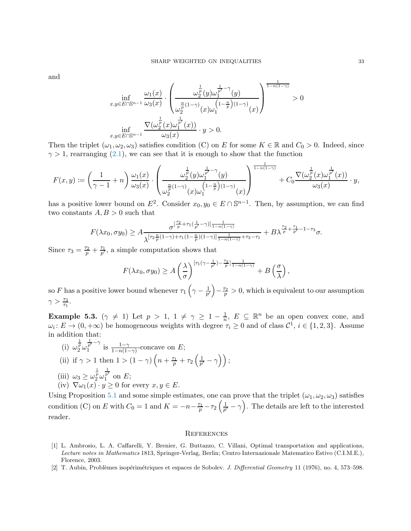and

$$
\inf_{x,y\in E\cap\mathbb{S}^{n-1}}\frac{\omega_1(x)}{\omega_3(x)}\cdot\left(\frac{\omega_2^{\frac{1}{p}}(y)\omega_1^{\frac{1}{p'}-\gamma}(y)}{\omega_2^{\frac{n}{p}}(1-\gamma)}(x)\omega_1^{\left(1-\frac{n}{p}\right)(1-\gamma)}(x)}\right)^{\frac{1}{1-n(1-\gamma)}} > 0
$$
\n
$$
\inf_{x,y\in E\cap\mathbb{S}^{n-1}}\frac{\nabla(\omega_2^{\frac{1}{p}}(x)\omega_1^{\frac{1}{p'}}(x))}{\omega_3(x)}\cdot y > 0.
$$

Then the triplet  $(\omega_1, \omega_2, \omega_3)$  satisfies condition (C) on E for some  $K \in \mathbb{R}$  and  $C_0 > 0$ . Indeed, since  $\gamma > 1$ , rearranging [\(2.1\)](#page-5-1), we can see that it is enough to show that the function

$$
F(x,y):=\left(\frac{1}{\gamma-1}+n\right)\frac{\omega_1(x)}{\omega_3(x)}\cdot\left(\frac{\omega_2^{\frac{1}{p}}(y)\omega_1^{\frac{1}{p'}-\gamma}(y)}{\omega_2^{\frac{n}{p}(1-\gamma)}(x)\omega_1^{\left(1-\frac{n}{p}\right)(1-\gamma)}(x)}\right)^{\frac{1}{1-n(1-\gamma)}}+C_0\frac{\nabla(\omega_2^{\frac{1}{p}}(x)\omega_1^{\frac{1}{p'}}(x))}{\omega_3(x)}\cdot y,
$$

has a positive lower bound on  $E^2$ . Consider  $x_0, y_0 \in E \cap \mathbb{S}^{n-1}$ . Then, by assumption, we can find two constants  $A, B > 0$  such that

$$
F(\lambda x_0, \sigma y_0) \ge A \frac{\sigma^{\left[\frac{\tau_2}{p} + \tau_1(\frac{1}{p'} - \gamma)\right] \frac{1}{1 - n(1 - \gamma)}}}{\lambda^{\left[\tau_2 \frac{n}{p}(1 - \gamma) + \tau_1(1 - \frac{n}{p})(1 - \gamma)\right] \frac{1}{1 - n(1 - \gamma)} + \tau_3 - \tau_1}} + B \lambda^{\frac{\tau_2}{p} + \frac{\tau_1}{p'} - 1 - \tau_3} \sigma.
$$

Since  $\tau_3 = \frac{\tau_2}{p} + \frac{\tau_1}{p'}$ , a simple computation shows that

$$
F(\lambda x_0, \sigma y_0) \ge A\left(\frac{\lambda}{\sigma}\right)^{[\tau_1(\gamma - \frac{1}{p'}) - \frac{\tau_2}{p}] \frac{1}{1 - n(1 - \gamma)}} + B\left(\frac{\sigma}{\lambda}\right),
$$

so F has a positive lower bound whenever  $\tau_1 \left( \gamma - \frac{1}{p'} \right)$  $\left(\frac{1}{p'}\right) - \frac{\tau_2}{p} > 0$ , which is equivalent to our assumption  $\gamma > \frac{\tau_3}{\tau_1}.$ 

**Example 5.3.**  $(\gamma \neq 1)$  Let  $p > 1$ ,  $1 \neq \gamma \geq 1 - \frac{1}{n}$ ,  $E \subseteq \mathbb{R}^n$  be an open convex cone, and  $\omega_i: E \to (0, +\infty)$  be homogeneous weights with degree  $\tau_i \geq 0$  and of class  $\mathcal{C}^1$ ,  $i \in \{1, 2, 3\}$ . Assume in addition that:

(i) 
$$
\omega_2^{\frac{1}{p}} \omega_1^{\frac{1}{p'} - \gamma}
$$
 is  $\frac{1 - \gamma}{1 - n(1 - \gamma)}$ -concave on *E*;  
\n(ii) if  $\gamma > 1$  then  $1 > (1 - \gamma) \left( n + \frac{\tau_1}{p} + \tau_2 \left( \frac{1}{p'} - \gamma \right) \right)$ ;  
\n(iii)  $\omega_3 \ge \omega_2^{\frac{1}{p}} \omega_1^{\frac{1}{p'}}$  on *E*;  
\n(iv)  $\nabla \omega_1(x) \cdot y \ge 0$  for every  $x, y \in E$ .

Using Proposition [5.1](#page-29-0) and some simple estimates, one can prove that the triplet  $(\omega_1, \omega_2, \omega_3)$  satisfies condition (C) on E with  $C_0 = 1$  and  $K = -n - \frac{\tau_1}{p} - \tau_2 \left( \frac{1}{p'}\right)$  $\frac{1}{p'} - \gamma$ . The details are left to the interested reader.

#### <span id="page-32-0"></span>**REFERENCES**

- <span id="page-32-2"></span>[1] L. Ambrosio, L. A. Caffarelli, Y. Brenier, G. Buttazzo, C. Villani, Optimal transportation and applications, Lecture notes in Mathematics 1813, Springer-Verlag, Berlin; Centro Internazionale Matematico Estivo (C.I.M.E.), Florence, 2003.
- <span id="page-32-1"></span>[2] T. Aubin, Problèmes isopérimétriques et espaces de Sobolev. J. Differential Geometry 11 (1976), no. 4, 573–598.